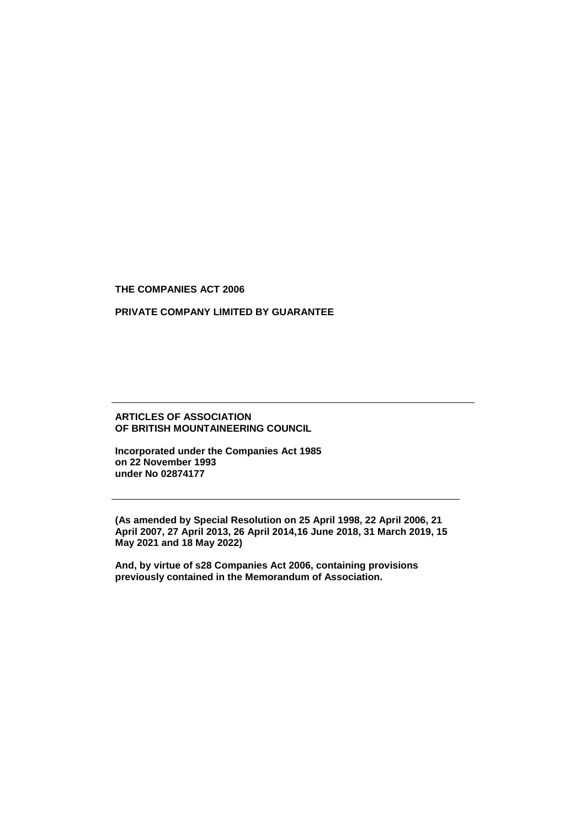**THE COMPANIES ACT 2006**

## **PRIVATE COMPANY LIMITED BY GUARANTEE**

### **ARTICLES OF ASSOCIATION OF BRITISH MOUNTAINEERING COUNCIL**

**Incorporated under the Companies Act 1985 on 22 November 1993 under No 02874177** 

**(As amended by Special Resolution on 25 April 1998, 22 April 2006, 21 April 2007, 27 April 2013, 26 April 2014,16 June 2018, 31 March 2019, 15 May 2021 and 18 May 2022)**

**And, by virtue of s28 Companies Act 2006, containing provisions previously contained in the Memorandum of Association.**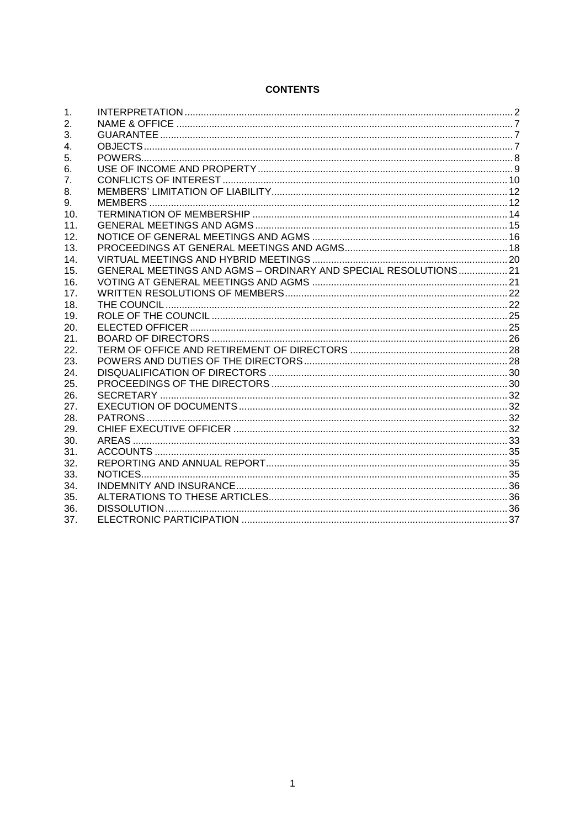# **CONTENTS**

| 1.             |                                                                |  |
|----------------|----------------------------------------------------------------|--|
| 2.             |                                                                |  |
| 3.             |                                                                |  |
| $\mathbf{4}$ . |                                                                |  |
| 5.             |                                                                |  |
| 6.             |                                                                |  |
| 7.             |                                                                |  |
| 8.             |                                                                |  |
| 9.             |                                                                |  |
| 10.            |                                                                |  |
| 11.            |                                                                |  |
| 12.            |                                                                |  |
| 13.            |                                                                |  |
| 14.            |                                                                |  |
| 15.            | GENERAL MEETINGS AND AGMS - ORDINARY AND SPECIAL RESOLUTIONS21 |  |
| 16.            |                                                                |  |
| 17.            |                                                                |  |
| 18.            |                                                                |  |
| 19.            |                                                                |  |
| 20.            |                                                                |  |
| 21.            |                                                                |  |
| 22.            |                                                                |  |
| 23.            |                                                                |  |
| 24.            |                                                                |  |
| 25.            |                                                                |  |
| 26.            |                                                                |  |
| 27.            |                                                                |  |
| 28.            |                                                                |  |
| 29.            |                                                                |  |
| 30.            |                                                                |  |
| 31.            |                                                                |  |
| 32.            |                                                                |  |
| 33.            |                                                                |  |
| 34.            |                                                                |  |
| 35.            |                                                                |  |
| 36.            |                                                                |  |
| 37.            |                                                                |  |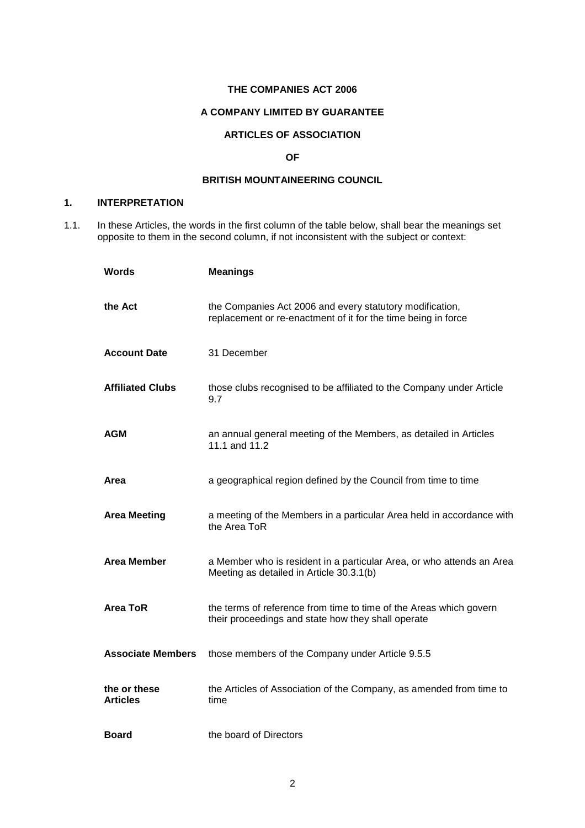### **THE COMPANIES ACT 2006**

## **A COMPANY LIMITED BY GUARANTEE**

## **ARTICLES OF ASSOCIATION**

### **OF**

### **BRITISH MOUNTAINEERING COUNCIL**

## <span id="page-2-0"></span>**1. INTERPRETATION**

1.1. In these Articles, the words in the first column of the table below, shall bear the meanings set opposite to them in the second column, if not inconsistent with the subject or context:

| Words                           | <b>Meanings</b>                                                                                                           |
|---------------------------------|---------------------------------------------------------------------------------------------------------------------------|
| the Act                         | the Companies Act 2006 and every statutory modification,<br>replacement or re-enactment of it for the time being in force |
| <b>Account Date</b>             | 31 December                                                                                                               |
| <b>Affiliated Clubs</b>         | those clubs recognised to be affiliated to the Company under Article<br>9.7                                               |
| <b>AGM</b>                      | an annual general meeting of the Members, as detailed in Articles<br>11.1 and 11.2                                        |
| Area                            | a geographical region defined by the Council from time to time                                                            |
| <b>Area Meeting</b>             | a meeting of the Members in a particular Area held in accordance with<br>the Area ToR                                     |
| <b>Area Member</b>              | a Member who is resident in a particular Area, or who attends an Area<br>Meeting as detailed in Article 30.3.1(b)         |
| Area ToR                        | the terms of reference from time to time of the Areas which govern<br>their proceedings and state how they shall operate  |
| <b>Associate Members</b>        | those members of the Company under Article 9.5.5                                                                          |
| the or these<br><b>Articles</b> | the Articles of Association of the Company, as amended from time to<br>time                                               |
| <b>Board</b>                    | the board of Directors                                                                                                    |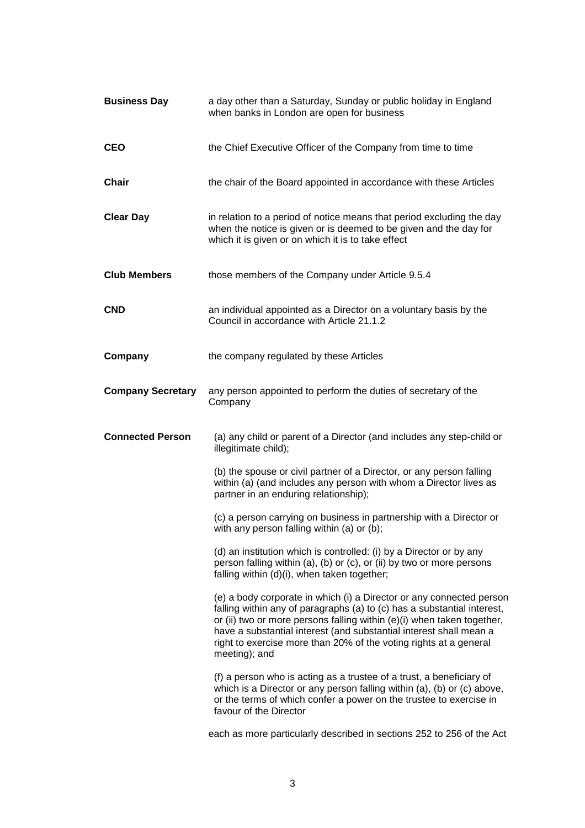| <b>Business Day</b>      | a day other than a Saturday, Sunday or public holiday in England<br>when banks in London are open for business                                                                                                                                                                                                                                                                        |
|--------------------------|---------------------------------------------------------------------------------------------------------------------------------------------------------------------------------------------------------------------------------------------------------------------------------------------------------------------------------------------------------------------------------------|
| <b>CEO</b>               | the Chief Executive Officer of the Company from time to time                                                                                                                                                                                                                                                                                                                          |
| <b>Chair</b>             | the chair of the Board appointed in accordance with these Articles                                                                                                                                                                                                                                                                                                                    |
| <b>Clear Day</b>         | in relation to a period of notice means that period excluding the day<br>when the notice is given or is deemed to be given and the day for<br>which it is given or on which it is to take effect                                                                                                                                                                                      |
| <b>Club Members</b>      | those members of the Company under Article 9.5.4                                                                                                                                                                                                                                                                                                                                      |
| <b>CND</b>               | an individual appointed as a Director on a voluntary basis by the<br>Council in accordance with Article 21.1.2                                                                                                                                                                                                                                                                        |
| Company                  | the company regulated by these Articles                                                                                                                                                                                                                                                                                                                                               |
| <b>Company Secretary</b> | any person appointed to perform the duties of secretary of the<br>Company                                                                                                                                                                                                                                                                                                             |
| <b>Connected Person</b>  | (a) any child or parent of a Director (and includes any step-child or<br>illegitimate child);                                                                                                                                                                                                                                                                                         |
|                          | (b) the spouse or civil partner of a Director, or any person falling<br>within (a) (and includes any person with whom a Director lives as<br>partner in an enduring relationship);                                                                                                                                                                                                    |
|                          | (c) a person carrying on business in partnership with a Director or<br>with any person falling within (a) or (b);                                                                                                                                                                                                                                                                     |
|                          | (d) an institution which is controlled: (i) by a Director or by any<br>person falling within (a), (b) or (c), or (ii) by two or more persons<br>falling within (d)(i), when taken together;                                                                                                                                                                                           |
|                          | (e) a body corporate in which (i) a Director or any connected person<br>falling within any of paragraphs (a) to (c) has a substantial interest,<br>or (ii) two or more persons falling within (e)(i) when taken together,<br>have a substantial interest (and substantial interest shall mean a<br>right to exercise more than 20% of the voting rights at a general<br>meeting); and |
|                          | (f) a person who is acting as a trustee of a trust, a beneficiary of<br>which is a Director or any person falling within (a), (b) or (c) above,<br>or the terms of which confer a power on the trustee to exercise in<br>favour of the Director                                                                                                                                       |
|                          | each as more particularly described in sections 252 to 256 of the Act                                                                                                                                                                                                                                                                                                                 |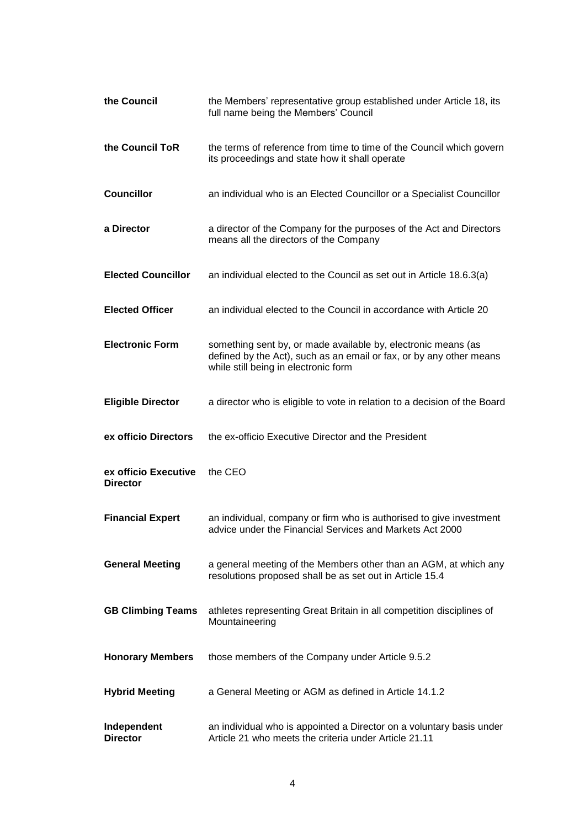| the Council                             | the Members' representative group established under Article 18, its<br>full name being the Members' Council                                                                  |
|-----------------------------------------|------------------------------------------------------------------------------------------------------------------------------------------------------------------------------|
| the Council ToR                         | the terms of reference from time to time of the Council which govern<br>its proceedings and state how it shall operate                                                       |
| <b>Councillor</b>                       | an individual who is an Elected Councillor or a Specialist Councillor                                                                                                        |
| a Director                              | a director of the Company for the purposes of the Act and Directors<br>means all the directors of the Company                                                                |
| <b>Elected Councillor</b>               | an individual elected to the Council as set out in Article 18.6.3(a)                                                                                                         |
| <b>Elected Officer</b>                  | an individual elected to the Council in accordance with Article 20                                                                                                           |
| <b>Electronic Form</b>                  | something sent by, or made available by, electronic means (as<br>defined by the Act), such as an email or fax, or by any other means<br>while still being in electronic form |
| <b>Eligible Director</b>                | a director who is eligible to vote in relation to a decision of the Board                                                                                                    |
| ex officio Directors                    | the ex-officio Executive Director and the President                                                                                                                          |
| ex officio Executive<br><b>Director</b> | the CEO                                                                                                                                                                      |
| <b>Financial Expert</b>                 | an individual, company or firm who is authorised to give investment<br>advice under the Financial Services and Markets Act 2000                                              |
| <b>General Meeting</b>                  |                                                                                                                                                                              |
|                                         | a general meeting of the Members other than an AGM, at which any<br>resolutions proposed shall be as set out in Article 15.4                                                 |
| <b>GB Climbing Teams</b>                | athletes representing Great Britain in all competition disciplines of<br>Mountaineering                                                                                      |
| <b>Honorary Members</b>                 | those members of the Company under Article 9.5.2                                                                                                                             |
| <b>Hybrid Meeting</b>                   | a General Meeting or AGM as defined in Article 14.1.2                                                                                                                        |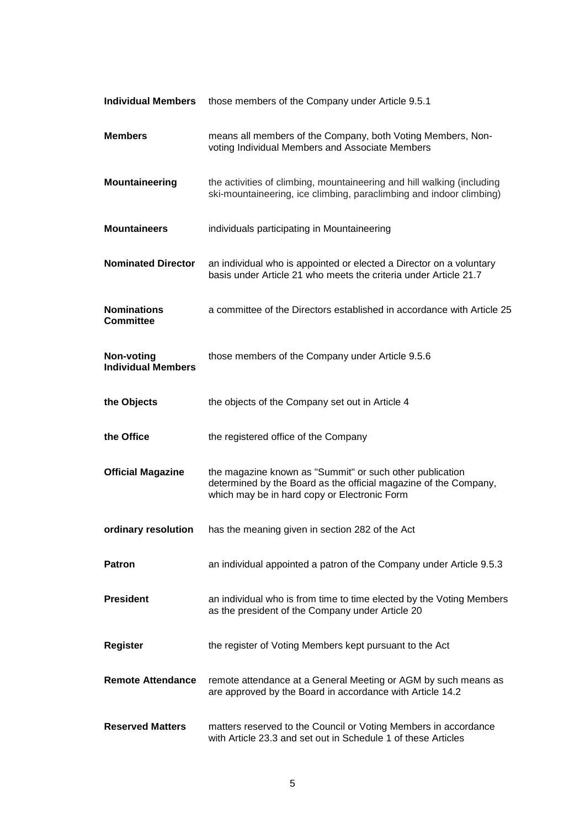| <b>Individual Members</b>                      | those members of the Company under Article 9.5.1                                                                                                                             |
|------------------------------------------------|------------------------------------------------------------------------------------------------------------------------------------------------------------------------------|
| <b>Members</b>                                 | means all members of the Company, both Voting Members, Non-<br>voting Individual Members and Associate Members                                                               |
| Mountaineering                                 | the activities of climbing, mountaineering and hill walking (including<br>ski-mountaineering, ice climbing, paraclimbing and indoor climbing)                                |
| <b>Mountaineers</b>                            | individuals participating in Mountaineering                                                                                                                                  |
| <b>Nominated Director</b>                      | an individual who is appointed or elected a Director on a voluntary<br>basis under Article 21 who meets the criteria under Article 21.7                                      |
| <b>Nominations</b><br><b>Committee</b>         | a committee of the Directors established in accordance with Article 25                                                                                                       |
| <b>Non-voting</b><br><b>Individual Members</b> | those members of the Company under Article 9.5.6                                                                                                                             |
| the Objects                                    | the objects of the Company set out in Article 4                                                                                                                              |
| the Office                                     | the registered office of the Company                                                                                                                                         |
| <b>Official Magazine</b>                       | the magazine known as "Summit" or such other publication<br>determined by the Board as the official magazine of the Company,<br>which may be in hard copy or Electronic Form |
| ordinary resolution                            | has the meaning given in section 282 of the Act                                                                                                                              |
| <b>Patron</b>                                  | an individual appointed a patron of the Company under Article 9.5.3                                                                                                          |
| <b>President</b>                               | an individual who is from time to time elected by the Voting Members<br>as the president of the Company under Article 20                                                     |
| <b>Register</b>                                | the register of Voting Members kept pursuant to the Act                                                                                                                      |
| <b>Remote Attendance</b>                       | remote attendance at a General Meeting or AGM by such means as<br>are approved by the Board in accordance with Article 14.2                                                  |
| <b>Reserved Matters</b>                        | matters reserved to the Council or Voting Members in accordance<br>with Article 23.3 and set out in Schedule 1 of these Articles                                             |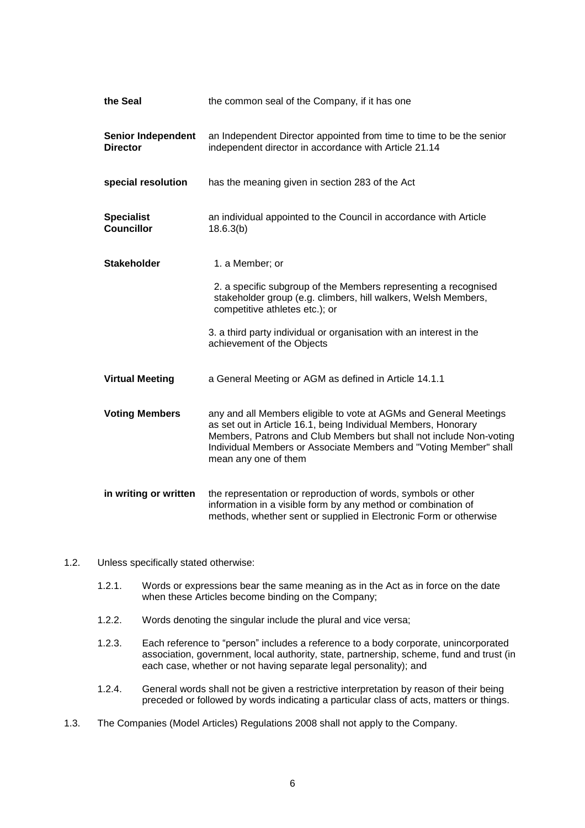| the Seal                                     | the common seal of the Company, if it has one                                                                                                                                                                                                                                                          |
|----------------------------------------------|--------------------------------------------------------------------------------------------------------------------------------------------------------------------------------------------------------------------------------------------------------------------------------------------------------|
| <b>Senior Independent</b><br><b>Director</b> | an Independent Director appointed from time to time to be the senior<br>independent director in accordance with Article 21.14                                                                                                                                                                          |
| special resolution                           | has the meaning given in section 283 of the Act                                                                                                                                                                                                                                                        |
| <b>Specialist</b><br><b>Councillor</b>       | an individual appointed to the Council in accordance with Article<br>18.6.3(b)                                                                                                                                                                                                                         |
| <b>Stakeholder</b>                           | 1. a Member; or                                                                                                                                                                                                                                                                                        |
|                                              | 2. a specific subgroup of the Members representing a recognised<br>stakeholder group (e.g. climbers, hill walkers, Welsh Members,<br>competitive athletes etc.); or                                                                                                                                    |
|                                              | 3. a third party individual or organisation with an interest in the<br>achievement of the Objects                                                                                                                                                                                                      |
| <b>Virtual Meeting</b>                       | a General Meeting or AGM as defined in Article 14.1.1                                                                                                                                                                                                                                                  |
| <b>Voting Members</b>                        | any and all Members eligible to vote at AGMs and General Meetings<br>as set out in Article 16.1, being Individual Members, Honorary<br>Members, Patrons and Club Members but shall not include Non-voting<br>Individual Members or Associate Members and "Voting Member" shall<br>mean any one of them |
| in writing or written                        | the representation or reproduction of words, symbols or other<br>information in a visible form by any method or combination of<br>methods, whether sent or supplied in Electronic Form or otherwise                                                                                                    |

- 1.2. Unless specifically stated otherwise:
	- 1.2.1. Words or expressions bear the same meaning as in the Act as in force on the date when these Articles become binding on the Company;
	- 1.2.2. Words denoting the singular include the plural and vice versa;
	- 1.2.3. Each reference to "person" includes a reference to a body corporate, unincorporated association, government, local authority, state, partnership, scheme, fund and trust (in each case, whether or not having separate legal personality); and
	- 1.2.4. General words shall not be given a restrictive interpretation by reason of their being preceded or followed by words indicating a particular class of acts, matters or things.
- 1.3. The Companies (Model Articles) Regulations 2008 shall not apply to the Company.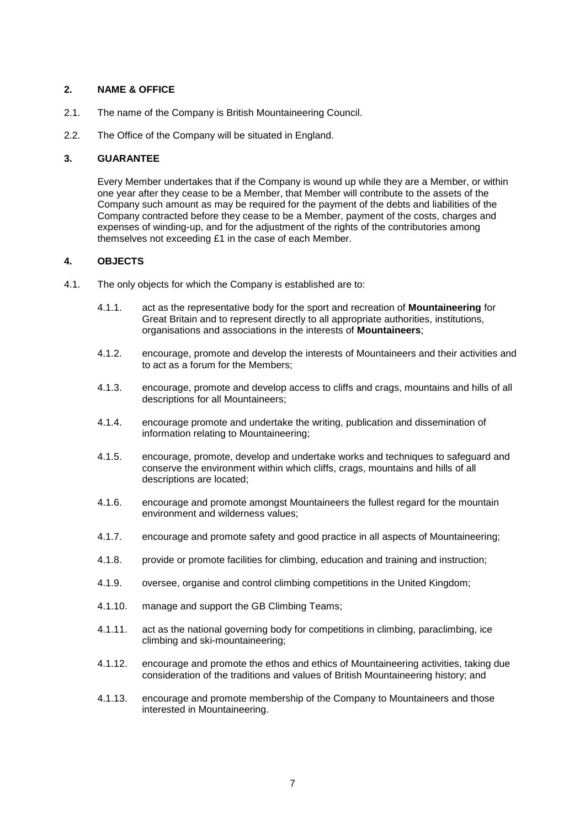## <span id="page-7-0"></span>**2. NAME & OFFICE**

- 2.1. The name of the Company is British Mountaineering Council.
- 2.2. The Office of the Company will be situated in England.

## <span id="page-7-1"></span>**3. GUARANTEE**

Every Member undertakes that if the Company is wound up while they are a Member, or within one year after they cease to be a Member, that Member will contribute to the assets of the Company such amount as may be required for the payment of the debts and liabilities of the Company contracted before they cease to be a Member, payment of the costs, charges and expenses of winding-up, and for the adjustment of the rights of the contributories among themselves not exceeding £1 in the case of each Member.

## <span id="page-7-2"></span>**4. OBJECTS**

- 4.1. The only objects for which the Company is established are to:
	- 4.1.1. act as the representative body for the sport and recreation of **Mountaineering** for Great Britain and to represent directly to all appropriate authorities, institutions, organisations and associations in the interests of **Mountaineers**;
	- 4.1.2. encourage, promote and develop the interests of Mountaineers and their activities and to act as a forum for the Members;
	- 4.1.3. encourage, promote and develop access to cliffs and crags, mountains and hills of all descriptions for all Mountaineers;
	- 4.1.4. encourage promote and undertake the writing, publication and dissemination of information relating to Mountaineering;
	- 4.1.5. encourage, promote, develop and undertake works and techniques to safeguard and conserve the environment within which cliffs, crags, mountains and hills of all descriptions are located;
	- 4.1.6. encourage and promote amongst Mountaineers the fullest regard for the mountain environment and wilderness values;
	- 4.1.7. encourage and promote safety and good practice in all aspects of Mountaineering;
	- 4.1.8. provide or promote facilities for climbing, education and training and instruction;
	- 4.1.9. oversee, organise and control climbing competitions in the United Kingdom;
	- 4.1.10. manage and support the GB Climbing Teams;
	- 4.1.11. act as the national governing body for competitions in climbing, paraclimbing, ice climbing and ski-mountaineering;
	- 4.1.12. encourage and promote the ethos and ethics of Mountaineering activities, taking due consideration of the traditions and values of British Mountaineering history; and
	- 4.1.13. encourage and promote membership of the Company to Mountaineers and those interested in Mountaineering.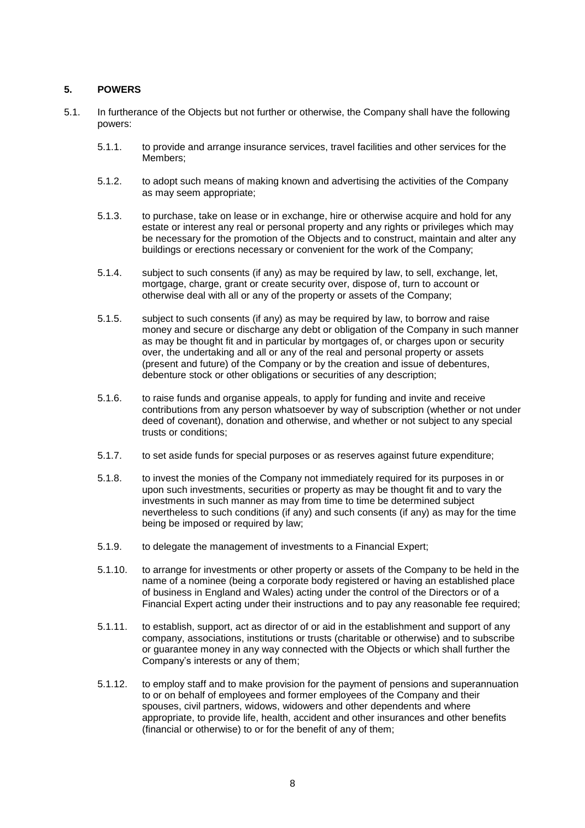## <span id="page-8-0"></span>**5. POWERS**

- 5.1. In furtherance of the Objects but not further or otherwise, the Company shall have the following powers:
	- 5.1.1. to provide and arrange insurance services, travel facilities and other services for the Members;
	- 5.1.2. to adopt such means of making known and advertising the activities of the Company as may seem appropriate;
	- 5.1.3. to purchase, take on lease or in exchange, hire or otherwise acquire and hold for any estate or interest any real or personal property and any rights or privileges which may be necessary for the promotion of the Objects and to construct, maintain and alter any buildings or erections necessary or convenient for the work of the Company;
	- 5.1.4. subject to such consents (if any) as may be required by law, to sell, exchange, let, mortgage, charge, grant or create security over, dispose of, turn to account or otherwise deal with all or any of the property or assets of the Company;
	- 5.1.5. subject to such consents (if any) as may be required by law, to borrow and raise money and secure or discharge any debt or obligation of the Company in such manner as may be thought fit and in particular by mortgages of, or charges upon or security over, the undertaking and all or any of the real and personal property or assets (present and future) of the Company or by the creation and issue of debentures, debenture stock or other obligations or securities of any description;
	- 5.1.6. to raise funds and organise appeals, to apply for funding and invite and receive contributions from any person whatsoever by way of subscription (whether or not under deed of covenant), donation and otherwise, and whether or not subject to any special trusts or conditions;
	- 5.1.7. to set aside funds for special purposes or as reserves against future expenditure;
	- 5.1.8. to invest the monies of the Company not immediately required for its purposes in or upon such investments, securities or property as may be thought fit and to vary the investments in such manner as may from time to time be determined subject nevertheless to such conditions (if any) and such consents (if any) as may for the time being be imposed or required by law;
	- 5.1.9. to delegate the management of investments to a Financial Expert;
	- 5.1.10. to arrange for investments or other property or assets of the Company to be held in the name of a nominee (being a corporate body registered or having an established place of business in England and Wales) acting under the control of the Directors or of a Financial Expert acting under their instructions and to pay any reasonable fee required;
	- 5.1.11. to establish, support, act as director of or aid in the establishment and support of any company, associations, institutions or trusts (charitable or otherwise) and to subscribe or guarantee money in any way connected with the Objects or which shall further the Company's interests or any of them;
	- 5.1.12. to employ staff and to make provision for the payment of pensions and superannuation to or on behalf of employees and former employees of the Company and their spouses, civil partners, widows, widowers and other dependents and where appropriate, to provide life, health, accident and other insurances and other benefits (financial or otherwise) to or for the benefit of any of them;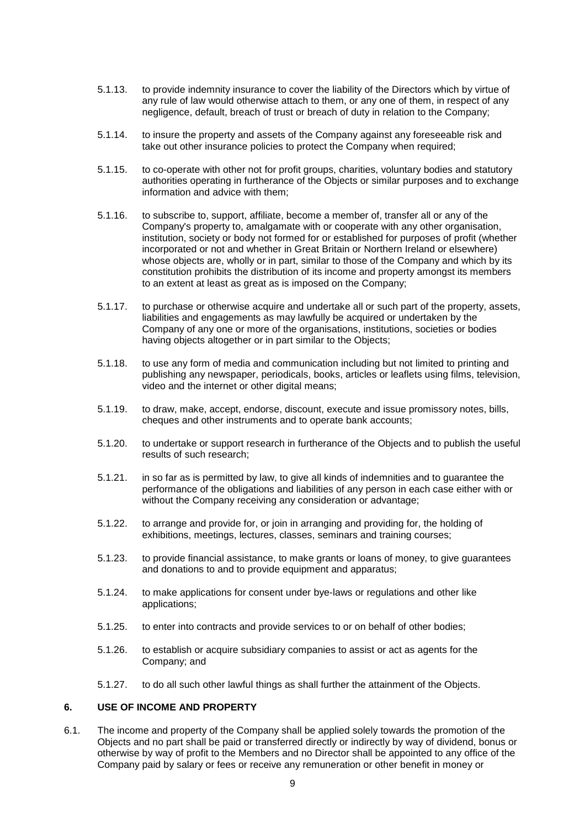- 5.1.13. to provide indemnity insurance to cover the liability of the Directors which by virtue of any rule of law would otherwise attach to them, or any one of them, in respect of any negligence, default, breach of trust or breach of duty in relation to the Company;
- 5.1.14. to insure the property and assets of the Company against any foreseeable risk and take out other insurance policies to protect the Company when required;
- 5.1.15. to co-operate with other not for profit groups, charities, voluntary bodies and statutory authorities operating in furtherance of the Objects or similar purposes and to exchange information and advice with them;
- 5.1.16. to subscribe to, support, affiliate, become a member of, transfer all or any of the Company's property to, amalgamate with or cooperate with any other organisation, institution, society or body not formed for or established for purposes of profit (whether incorporated or not and whether in Great Britain or Northern Ireland or elsewhere) whose objects are, wholly or in part, similar to those of the Company and which by its constitution prohibits the distribution of its income and property amongst its members to an extent at least as great as is imposed on the Company;
- 5.1.17. to purchase or otherwise acquire and undertake all or such part of the property, assets, liabilities and engagements as may lawfully be acquired or undertaken by the Company of any one or more of the organisations, institutions, societies or bodies having objects altogether or in part similar to the Objects;
- 5.1.18. to use any form of media and communication including but not limited to printing and publishing any newspaper, periodicals, books, articles or leaflets using films, television, video and the internet or other digital means;
- 5.1.19. to draw, make, accept, endorse, discount, execute and issue promissory notes, bills, cheques and other instruments and to operate bank accounts;
- 5.1.20. to undertake or support research in furtherance of the Objects and to publish the useful results of such research;
- 5.1.21. in so far as is permitted by law, to give all kinds of indemnities and to guarantee the performance of the obligations and liabilities of any person in each case either with or without the Company receiving any consideration or advantage;
- 5.1.22. to arrange and provide for, or join in arranging and providing for, the holding of exhibitions, meetings, lectures, classes, seminars and training courses;
- 5.1.23. to provide financial assistance, to make grants or loans of money, to give guarantees and donations to and to provide equipment and apparatus;
- 5.1.24. to make applications for consent under bye-laws or regulations and other like applications;
- 5.1.25. to enter into contracts and provide services to or on behalf of other bodies;
- 5.1.26. to establish or acquire subsidiary companies to assist or act as agents for the Company; and
- 5.1.27. to do all such other lawful things as shall further the attainment of the Objects.

### <span id="page-9-0"></span>**6. USE OF INCOME AND PROPERTY**

<span id="page-9-1"></span>6.1. The income and property of the Company shall be applied solely towards the promotion of the Objects and no part shall be paid or transferred directly or indirectly by way of dividend, bonus or otherwise by way of profit to the Members and no Director shall be appointed to any office of the Company paid by salary or fees or receive any remuneration or other benefit in money or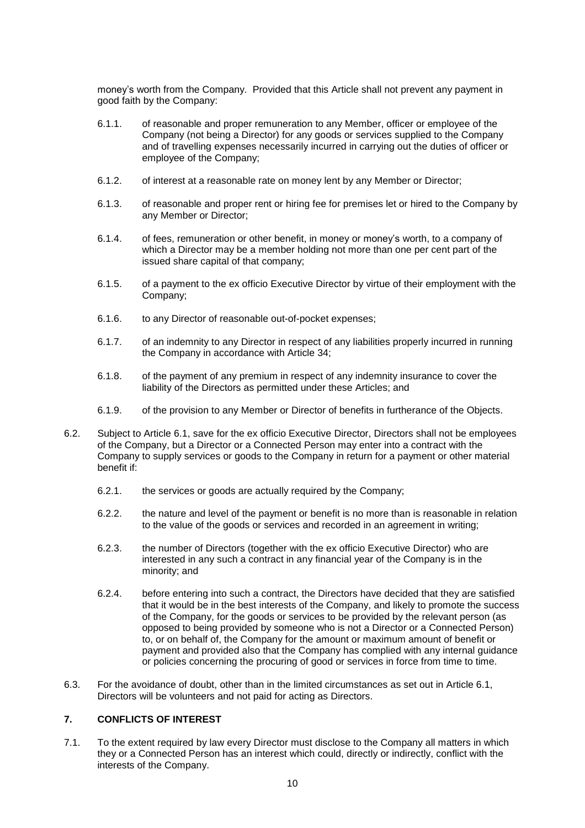money's worth from the Company. Provided that this Article shall not prevent any payment in good faith by the Company:

- 6.1.1. of reasonable and proper remuneration to any Member, officer or employee of the Company (not being a Director) for any goods or services supplied to the Company and of travelling expenses necessarily incurred in carrying out the duties of officer or employee of the Company;
- 6.1.2. of interest at a reasonable rate on money lent by any Member or Director;
- 6.1.3. of reasonable and proper rent or hiring fee for premises let or hired to the Company by any Member or Director;
- 6.1.4. of fees, remuneration or other benefit, in money or money's worth, to a company of which a Director may be a member holding not more than one per cent part of the issued share capital of that company;
- 6.1.5. of a payment to the ex officio Executive Director by virtue of their employment with the Company;
- 6.1.6. to any Director of reasonable out-of-pocket expenses;
- 6.1.7. of an indemnity to any Director in respect of any liabilities properly incurred in running the Company in accordance with Article [34;](#page-36-0)
- 6.1.8. of the payment of any premium in respect of any indemnity insurance to cover the liability of the Directors as permitted under these Articles; and
- 6.1.9. of the provision to any Member or Director of benefits in furtherance of the Objects.
- 6.2. Subject to Article [6.1,](#page-9-1) save for the ex officio Executive Director, Directors shall not be employees of the Company, but a Director or a Connected Person may enter into a contract with the Company to supply services or goods to the Company in return for a payment or other material benefit if:
	- 6.2.1. the services or goods are actually required by the Company;
	- 6.2.2. the nature and level of the payment or benefit is no more than is reasonable in relation to the value of the goods or services and recorded in an agreement in writing;
	- 6.2.3. the number of Directors (together with the ex officio Executive Director) who are interested in any such a contract in any financial year of the Company is in the minority; and
	- 6.2.4. before entering into such a contract, the Directors have decided that they are satisfied that it would be in the best interests of the Company, and likely to promote the success of the Company, for the goods or services to be provided by the relevant person (as opposed to being provided by someone who is not a Director or a Connected Person) to, or on behalf of, the Company for the amount or maximum amount of benefit or payment and provided also that the Company has complied with any internal guidance or policies concerning the procuring of good or services in force from time to time.
- 6.3. For the avoidance of doubt, other than in the limited circumstances as set out in Article [6.1,](#page-9-1) Directors will be volunteers and not paid for acting as Directors.

# <span id="page-10-0"></span>**7. CONFLICTS OF INTEREST**

7.1. To the extent required by law every Director must disclose to the Company all matters in which they or a Connected Person has an interest which could, directly or indirectly, conflict with the interests of the Company.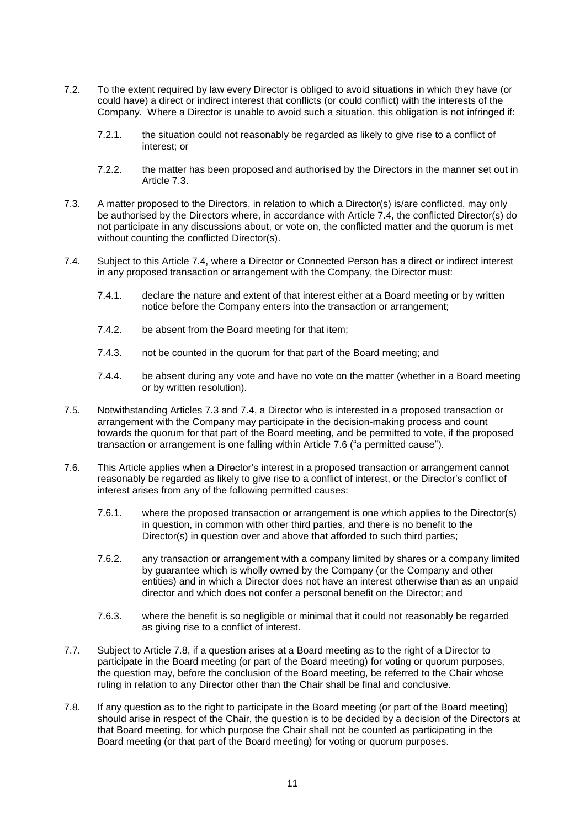- 7.2. To the extent required by law every Director is obliged to avoid situations in which they have (or could have) a direct or indirect interest that conflicts (or could conflict) with the interests of the Company. Where a Director is unable to avoid such a situation, this obligation is not infringed if:
	- 7.2.1. the situation could not reasonably be regarded as likely to give rise to a conflict of interest; or
	- 7.2.2. the matter has been proposed and authorised by the Directors in the manner set out in Article [7.3.](#page-11-0)
- <span id="page-11-0"></span>7.3. A matter proposed to the Directors, in relation to which a Director(s) is/are conflicted, may only be authorised by the Directors where, in accordance with Article [7.4,](#page-11-1) the conflicted Director(s) do not participate in any discussions about, or vote on, the conflicted matter and the quorum is met without counting the conflicted Director(s).
- <span id="page-11-1"></span>7.4. Subject to this Article [7.4,](#page-11-1) where a Director or Connected Person has a direct or indirect interest in any proposed transaction or arrangement with the Company, the Director must:
	- 7.4.1. declare the nature and extent of that interest either at a Board meeting or by written notice before the Company enters into the transaction or arrangement;
	- 7.4.2. be absent from the Board meeting for that item;
	- 7.4.3. not be counted in the quorum for that part of the Board meeting; and
	- 7.4.4. be absent during any vote and have no vote on the matter (whether in a Board meeting or by written resolution).
- 7.5. Notwithstanding Articles [7.3](#page-11-0) and [7.4,](#page-11-1) a Director who is interested in a proposed transaction or arrangement with the Company may participate in the decision-making process and count towards the quorum for that part of the Board meeting, and be permitted to vote, if the proposed transaction or arrangement is one falling within Article [7.6](#page-11-2) ("a permitted cause").
- <span id="page-11-2"></span>7.6. This Article applies when a Director's interest in a proposed transaction or arrangement cannot reasonably be regarded as likely to give rise to a conflict of interest, or the Director's conflict of interest arises from any of the following permitted causes:
	- 7.6.1. where the proposed transaction or arrangement is one which applies to the Director(s) in question, in common with other third parties, and there is no benefit to the Director(s) in question over and above that afforded to such third parties;
	- 7.6.2. any transaction or arrangement with a company limited by shares or a company limited by guarantee which is wholly owned by the Company (or the Company and other entities) and in which a Director does not have an interest otherwise than as an unpaid director and which does not confer a personal benefit on the Director; and
	- 7.6.3. where the benefit is so negligible or minimal that it could not reasonably be regarded as giving rise to a conflict of interest.
- 7.7. Subject to Article [7.8,](#page-11-3) if a question arises at a Board meeting as to the right of a Director to participate in the Board meeting (or part of the Board meeting) for voting or quorum purposes, the question may, before the conclusion of the Board meeting, be referred to the Chair whose ruling in relation to any Director other than the Chair shall be final and conclusive.
- <span id="page-11-3"></span>7.8. If any question as to the right to participate in the Board meeting (or part of the Board meeting) should arise in respect of the Chair, the question is to be decided by a decision of the Directors at that Board meeting, for which purpose the Chair shall not be counted as participating in the Board meeting (or that part of the Board meeting) for voting or quorum purposes.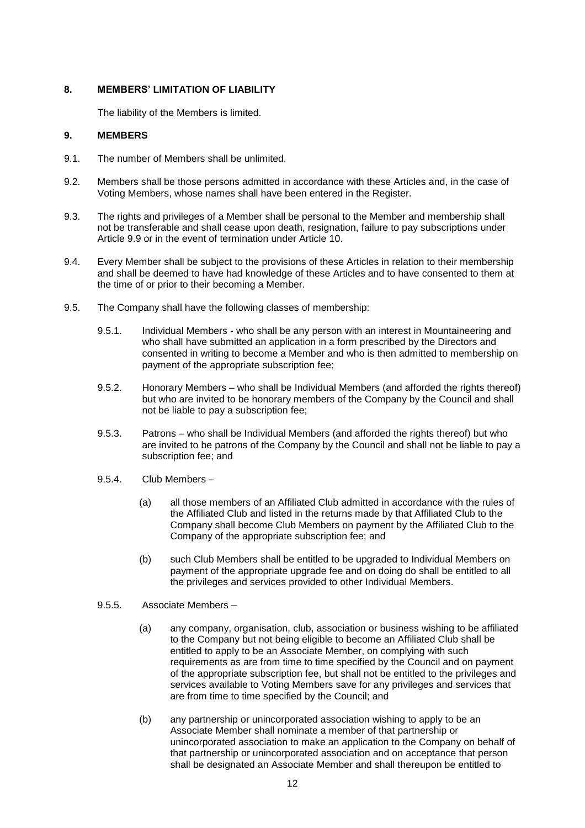## <span id="page-12-0"></span>**8. MEMBERS' LIMITATION OF LIABILITY**

The liability of the Members is limited.

## <span id="page-12-1"></span>**9. MEMBERS**

- 9.1. The number of Members shall be unlimited.
- 9.2. Members shall be those persons admitted in accordance with these Articles and, in the case of Voting Members, whose names shall have been entered in the Register.
- 9.3. The rights and privileges of a Member shall be personal to the Member and membership shall not be transferable and shall cease upon death, resignation, failure to pay subscriptions under Article [9.9](#page-14-1) or in the event of termination under Article [10.](#page-14-0)
- 9.4. Every Member shall be subject to the provisions of these Articles in relation to their membership and shall be deemed to have had knowledge of these Articles and to have consented to them at the time of or prior to their becoming a Member.
- <span id="page-12-6"></span><span id="page-12-5"></span><span id="page-12-4"></span><span id="page-12-3"></span><span id="page-12-2"></span>9.5. The Company shall have the following classes of membership:
	- 9.5.1. Individual Members who shall be any person with an interest in Mountaineering and who shall have submitted an application in a form prescribed by the Directors and consented in writing to become a Member and who is then admitted to membership on payment of the appropriate subscription fee;
	- 9.5.2. Honorary Members who shall be Individual Members (and afforded the rights thereof) but who are invited to be honorary members of the Company by the Council and shall not be liable to pay a subscription fee;
	- 9.5.3. Patrons who shall be Individual Members (and afforded the rights thereof) but who are invited to be patrons of the Company by the Council and shall not be liable to pay a subscription fee; and
	- 9.5.4. Club Members
		- (a) all those members of an Affiliated Club admitted in accordance with the rules of the Affiliated Club and listed in the returns made by that Affiliated Club to the Company shall become Club Members on payment by the Affiliated Club to the Company of the appropriate subscription fee; and
		- (b) such Club Members shall be entitled to be upgraded to Individual Members on payment of the appropriate upgrade fee and on doing do shall be entitled to all the privileges and services provided to other Individual Members.
	- 9.5.5. Associate Members
		- (a) any company, organisation, club, association or business wishing to be affiliated to the Company but not being eligible to become an Affiliated Club shall be entitled to apply to be an Associate Member, on complying with such requirements as are from time to time specified by the Council and on payment of the appropriate subscription fee, but shall not be entitled to the privileges and services available to Voting Members save for any privileges and services that are from time to time specified by the Council; and
		- (b) any partnership or unincorporated association wishing to apply to be an Associate Member shall nominate a member of that partnership or unincorporated association to make an application to the Company on behalf of that partnership or unincorporated association and on acceptance that person shall be designated an Associate Member and shall thereupon be entitled to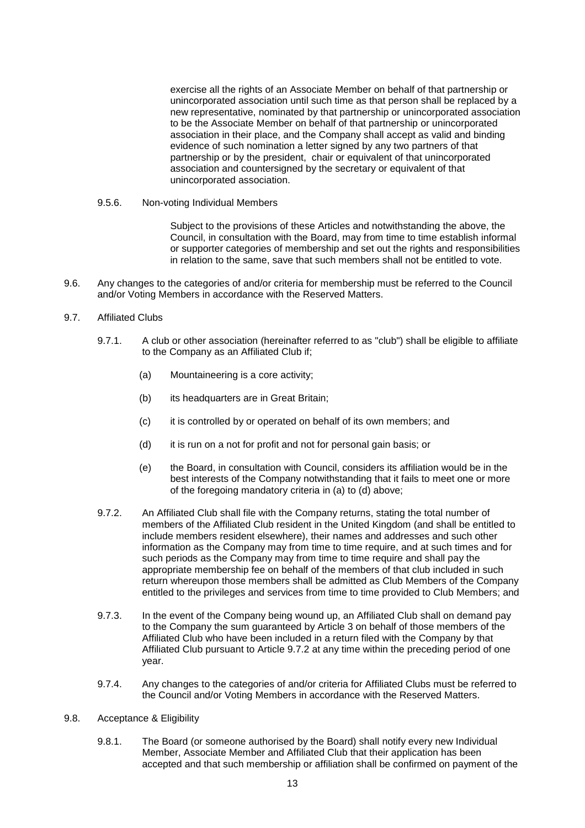exercise all the rights of an Associate Member on behalf of that partnership or unincorporated association until such time as that person shall be replaced by a new representative, nominated by that partnership or unincorporated association to be the Associate Member on behalf of that partnership or unincorporated association in their place, and the Company shall accept as valid and binding evidence of such nomination a letter signed by any two partners of that partnership or by the president, chair or equivalent of that unincorporated association and countersigned by the secretary or equivalent of that unincorporated association.

<span id="page-13-1"></span>9.5.6. Non-voting Individual Members

Subject to the provisions of these Articles and notwithstanding the above, the Council, in consultation with the Board, may from time to time establish informal or supporter categories of membership and set out the rights and responsibilities in relation to the same, save that such members shall not be entitled to vote.

9.6. Any changes to the categories of and/or criteria for membership must be referred to the Council and/or Voting Members in accordance with the Reserved Matters.

#### <span id="page-13-0"></span>9.7. Affiliated Clubs

- <span id="page-13-2"></span>9.7.1. A club or other association (hereinafter referred to as "club") shall be eligible to affiliate to the Company as an Affiliated Club if;
	- (a) Mountaineering is a core activity;
	- (b) its headquarters are in Great Britain;
	- (c) it is controlled by or operated on behalf of its own members; and
	- (d) it is run on a not for profit and not for personal gain basis; or
	- (e) the Board, in consultation with Council, considers its affiliation would be in the best interests of the Company notwithstanding that it fails to meet one or more of the foregoing mandatory criteria in [\(a\)](#page-13-2) to [\(d\)](#page-13-3) above;
- <span id="page-13-4"></span><span id="page-13-3"></span>9.7.2. An Affiliated Club shall file with the Company returns, stating the total number of members of the Affiliated Club resident in the United Kingdom (and shall be entitled to include members resident elsewhere), their names and addresses and such other information as the Company may from time to time require, and at such times and for such periods as the Company may from time to time require and shall pay the appropriate membership fee on behalf of the members of that club included in such return whereupon those members shall be admitted as Club Members of the Company entitled to the privileges and services from time to time provided to Club Members; and
- 9.7.3. In the event of the Company being wound up, an Affiliated Club shall on demand pay to the Company the sum guaranteed by Article [3](#page-7-1) on behalf of those members of the Affiliated Club who have been included in a return filed with the Company by that Affiliated Club pursuant to Article [9.7.2](#page-13-4) at any time within the preceding period of one year.
- 9.7.4. Any changes to the categories of and/or criteria for Affiliated Clubs must be referred to the Council and/or Voting Members in accordance with the Reserved Matters.
- 9.8. Acceptance & Eligibility
	- 9.8.1. The Board (or someone authorised by the Board) shall notify every new Individual Member, Associate Member and Affiliated Club that their application has been accepted and that such membership or affiliation shall be confirmed on payment of the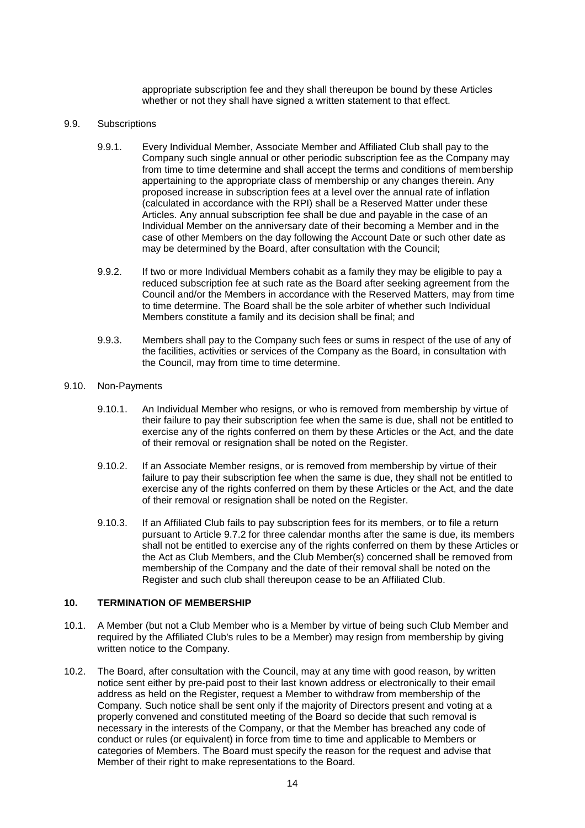appropriate subscription fee and they shall thereupon be bound by these Articles whether or not they shall have signed a written statement to that effect.

#### <span id="page-14-1"></span>9.9. Subscriptions

- 9.9.1. Every Individual Member, Associate Member and Affiliated Club shall pay to the Company such single annual or other periodic subscription fee as the Company may from time to time determine and shall accept the terms and conditions of membership appertaining to the appropriate class of membership or any changes therein. Any proposed increase in subscription fees at a level over the annual rate of inflation (calculated in accordance with the RPI) shall be a Reserved Matter under these Articles. Any annual subscription fee shall be due and payable in the case of an Individual Member on the anniversary date of their becoming a Member and in the case of other Members on the day following the Account Date or such other date as may be determined by the Board, after consultation with the Council;
- 9.9.2. If two or more Individual Members cohabit as a family they may be eligible to pay a reduced subscription fee at such rate as the Board after seeking agreement from the Council and/or the Members in accordance with the Reserved Matters, may from time to time determine. The Board shall be the sole arbiter of whether such Individual Members constitute a family and its decision shall be final; and
- 9.9.3. Members shall pay to the Company such fees or sums in respect of the use of any of the facilities, activities or services of the Company as the Board, in consultation with the Council, may from time to time determine.

### 9.10. Non-Payments

- 9.10.1. An Individual Member who resigns, or who is removed from membership by virtue of their failure to pay their subscription fee when the same is due, shall not be entitled to exercise any of the rights conferred on them by these Articles or the Act, and the date of their removal or resignation shall be noted on the Register.
- 9.10.2. If an Associate Member resigns, or is removed from membership by virtue of their failure to pay their subscription fee when the same is due, they shall not be entitled to exercise any of the rights conferred on them by these Articles or the Act, and the date of their removal or resignation shall be noted on the Register.
- 9.10.3. If an Affiliated Club fails to pay subscription fees for its members, or to file a return pursuant to Article [9.7.2](#page-13-4) for three calendar months after the same is due, its members shall not be entitled to exercise any of the rights conferred on them by these Articles or the Act as Club Members, and the Club Member(s) concerned shall be removed from membership of the Company and the date of their removal shall be noted on the Register and such club shall thereupon cease to be an Affiliated Club.

## <span id="page-14-0"></span>**10. TERMINATION OF MEMBERSHIP**

- 10.1. A Member (but not a Club Member who is a Member by virtue of being such Club Member and required by the Affiliated Club's rules to be a Member) may resign from membership by giving written notice to the Company.
- <span id="page-14-2"></span>10.2. The Board, after consultation with the Council, may at any time with good reason, by written notice sent either by pre-paid post to their last known address or electronically to their email address as held on the Register, request a Member to withdraw from membership of the Company. Such notice shall be sent only if the majority of Directors present and voting at a properly convened and constituted meeting of the Board so decide that such removal is necessary in the interests of the Company, or that the Member has breached any code of conduct or rules (or equivalent) in force from time to time and applicable to Members or categories of Members. The Board must specify the reason for the request and advise that Member of their right to make representations to the Board.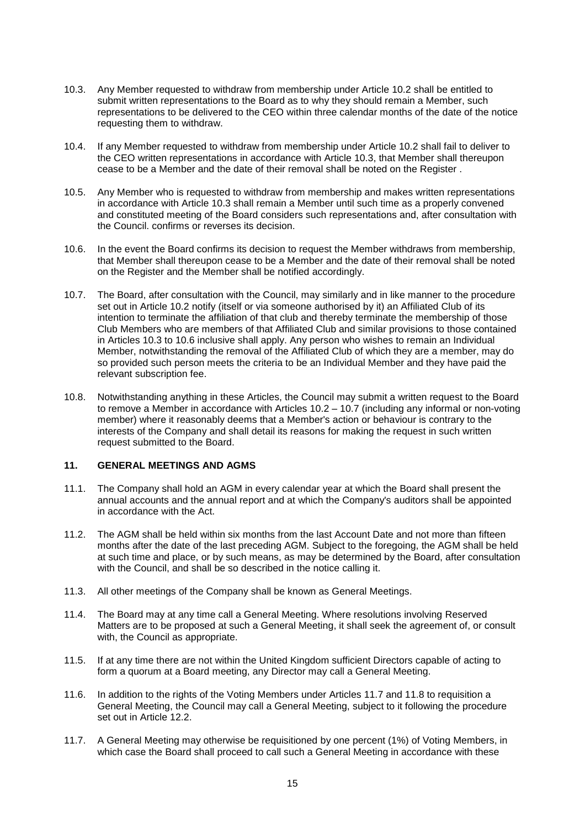- <span id="page-15-3"></span>10.3. Any Member requested to withdraw from membership under Article [10.2](#page-14-2) shall be entitled to submit written representations to the Board as to why they should remain a Member, such representations to be delivered to the CEO within three calendar months of the date of the notice requesting them to withdraw.
- 10.4. If any Member requested to withdraw from membership under Article [10.2](#page-14-2) shall fail to deliver to the CEO written representations in accordance with Article [10.3,](#page-15-3) that Member shall thereupon cease to be a Member and the date of their removal shall be noted on the Register .
- 10.5. Any Member who is requested to withdraw from membership and makes written representations in accordance with Article [10.3](#page-15-3) shall remain a Member until such time as a properly convened and constituted meeting of the Board considers such representations and, after consultation with the Council. confirms or reverses its decision.
- <span id="page-15-4"></span>10.6. In the event the Board confirms its decision to request the Member withdraws from membership, that Member shall thereupon cease to be a Member and the date of their removal shall be noted on the Register and the Member shall be notified accordingly.
- <span id="page-15-5"></span>10.7. The Board, after consultation with the Council, may similarly and in like manner to the procedure set out in Article [10.2](#page-14-2) notify (itself or via someone authorised by it) an Affiliated Club of its intention to terminate the affiliation of that club and thereby terminate the membership of those Club Members who are members of that Affiliated Club and similar provisions to those contained in Articles [10.3](#page-15-3) to [10.6](#page-15-4) inclusive shall apply. Any person who wishes to remain an Individual Member, notwithstanding the removal of the Affiliated Club of which they are a member, may do so provided such person meets the criteria to be an Individual Member and they have paid the relevant subscription fee.
- 10.8. Notwithstanding anything in these Articles, the Council may submit a written request to the Board to remove a Member in accordance with Articles [10.2](#page-14-2) – [10.7](#page-15-5) (including any informal or non-voting member) where it reasonably deems that a Member's action or behaviour is contrary to the interests of the Company and shall detail its reasons for making the request in such written request submitted to the Board.

## <span id="page-15-0"></span>**11. GENERAL MEETINGS AND AGMS**

- <span id="page-15-1"></span>11.1. The Company shall hold an AGM in every calendar year at which the Board shall present the annual accounts and the annual report and at which the Company's auditors shall be appointed in accordance with the Act.
- <span id="page-15-2"></span>11.2. The AGM shall be held within six months from the last Account Date and not more than fifteen months after the date of the last preceding AGM. Subject to the foregoing, the AGM shall be held at such time and place, or by such means, as may be determined by the Board, after consultation with the Council, and shall be so described in the notice calling it.
- 11.3. All other meetings of the Company shall be known as General Meetings.
- <span id="page-15-7"></span>11.4. The Board may at any time call a General Meeting. Where resolutions involving Reserved Matters are to be proposed at such a General Meeting, it shall seek the agreement of, or consult with, the Council as appropriate.
- 11.5. If at any time there are not within the United Kingdom sufficient Directors capable of acting to form a quorum at a Board meeting, any Director may call a General Meeting.
- <span id="page-15-8"></span>11.6. In addition to the rights of the Voting Members under Articles [11.7](#page-15-6) and [11.8](#page-16-1) to requisition a General Meeting, the Council may call a General Meeting, subject to it following the procedure set out in Article [12.2.](#page-17-0)
- <span id="page-15-6"></span>11.7. A General Meeting may otherwise be requisitioned by one percent (1%) of Voting Members, in which case the Board shall proceed to call such a General Meeting in accordance with these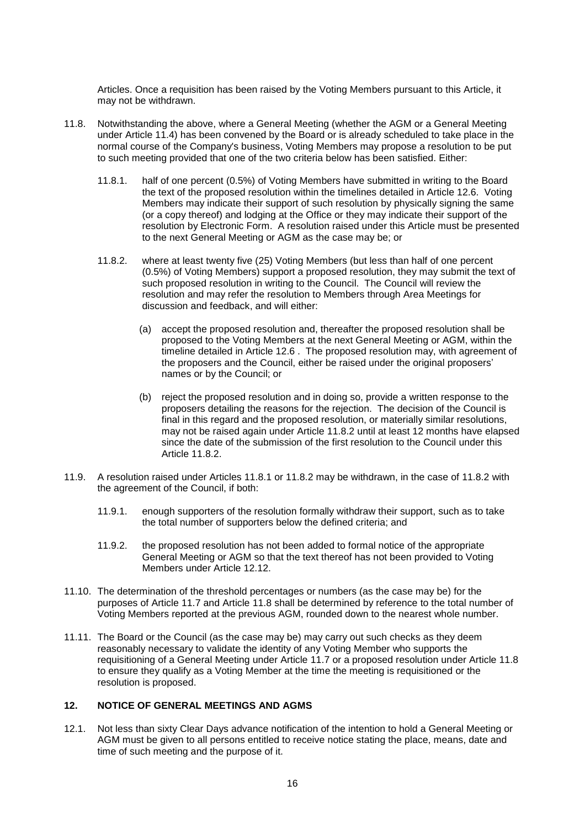Articles. Once a requisition has been raised by the Voting Members pursuant to this Article, it may not be withdrawn.

- <span id="page-16-3"></span><span id="page-16-2"></span><span id="page-16-1"></span>11.8. Notwithstanding the above, where a General Meeting (whether the AGM or a General Meeting under Article [11.4\)](#page-15-7) has been convened by the Board or is already scheduled to take place in the normal course of the Company's business, Voting Members may propose a resolution to be put to such meeting provided that one of the two criteria below has been satisfied. Either:
	- 11.8.1. half of one percent (0.5%) of Voting Members have submitted in writing to the Board the text of the proposed resolution within the timelines detailed in Article [12.6.](#page-17-1) Voting Members may indicate their support of such resolution by physically signing the same (or a copy thereof) and lodging at the Office or they may indicate their support of the resolution by Electronic Form. A resolution raised under this Article must be presented to the next General Meeting or AGM as the case may be; or
	- 11.8.2. where at least twenty five (25) Voting Members (but less than half of one percent (0.5%) of Voting Members) support a proposed resolution, they may submit the text of such proposed resolution in writing to the Council. The Council will review the resolution and may refer the resolution to Members through Area Meetings for discussion and feedback, and will either:
		- (a) accept the proposed resolution and, thereafter the proposed resolution shall be proposed to the Voting Members at the next General Meeting or AGM, within the timeline detailed in Article [12.6](#page-17-1) . The proposed resolution may, with agreement of the proposers and the Council, either be raised under the original proposers' names or by the Council; or
		- (b) reject the proposed resolution and in doing so, provide a written response to the proposers detailing the reasons for the rejection. The decision of the Council is final in this regard and the proposed resolution, or materially similar resolutions, may not be raised again under Article [11.8.2](#page-16-2) until at least 12 months have elapsed since the date of the submission of the first resolution to the Council under this Article [11.8.2.](#page-16-2)
- 11.9. A resolution raised under Articles [11.8.1](#page-16-3) or [11.8.2](#page-16-2) may be withdrawn, in the case of [11.8.2](#page-16-2) with the agreement of the Council, if both:
	- 11.9.1. enough supporters of the resolution formally withdraw their support, such as to take the total number of supporters below the defined criteria; and
	- 11.9.2. the proposed resolution has not been added to formal notice of the appropriate General Meeting or AGM so that the text thereof has not been provided to Voting Members under Article [12.12.](#page-18-1)
- 11.10. The determination of the threshold percentages or numbers (as the case may be) for the purposes of Article [11.7](#page-15-6) and Article [11.8](#page-16-1) shall be determined by reference to the total number of Voting Members reported at the previous AGM, rounded down to the nearest whole number.
- 11.11. The Board or the Council (as the case may be) may carry out such checks as they deem reasonably necessary to validate the identity of any Voting Member who supports the requisitioning of a General Meeting under Article [11.7](#page-15-6) or a proposed resolution under Article [11.8](#page-16-1) to ensure they qualify as a Voting Member at the time the meeting is requisitioned or the resolution is proposed.

# <span id="page-16-0"></span>**12. NOTICE OF GENERAL MEETINGS AND AGMS**

12.1. Not less than sixty Clear Days advance notification of the intention to hold a General Meeting or AGM must be given to all persons entitled to receive notice stating the place, means, date and time of such meeting and the purpose of it.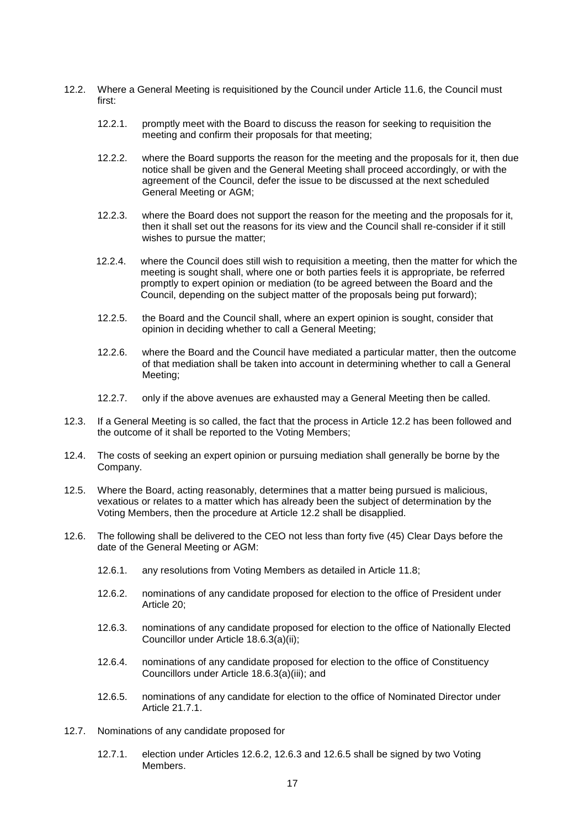- <span id="page-17-0"></span>12.2. Where a General Meeting is requisitioned by the Council under Article [11.6,](#page-15-8) the Council must first:
	- 12.2.1. promptly meet with the Board to discuss the reason for seeking to requisition the meeting and confirm their proposals for that meeting;
	- 12.2.2. where the Board supports the reason for the meeting and the proposals for it, then due notice shall be given and the General Meeting shall proceed accordingly, or with the agreement of the Council, defer the issue to be discussed at the next scheduled General Meeting or AGM;
	- 12.2.3. where the Board does not support the reason for the meeting and the proposals for it, then it shall set out the reasons for its view and the Council shall re-consider if it still wishes to pursue the matter;
	- 12.2.4. where the Council does still wish to requisition a meeting, then the matter for which the meeting is sought shall, where one or both parties feels it is appropriate, be referred promptly to expert opinion or mediation (to be agreed between the Board and the Council, depending on the subject matter of the proposals being put forward);
	- 12.2.5. the Board and the Council shall, where an expert opinion is sought, consider that opinion in deciding whether to call a General Meeting;
	- 12.2.6. where the Board and the Council have mediated a particular matter, then the outcome of that mediation shall be taken into account in determining whether to call a General Meeting;
	- 12.2.7. only if the above avenues are exhausted may a General Meeting then be called.
- 12.3. If a General Meeting is so called, the fact that the process in Article [12.2](#page-17-0) has been followed and the outcome of it shall be reported to the Voting Members;
- 12.4. The costs of seeking an expert opinion or pursuing mediation shall generally be borne by the Company.
- 12.5. Where the Board, acting reasonably, determines that a matter being pursued is malicious, vexatious or relates to a matter which has already been the subject of determination by the Voting Members, then the procedure at Article [12.2](#page-17-0) shall be disapplied.
- <span id="page-17-3"></span><span id="page-17-2"></span><span id="page-17-1"></span>12.6. The following shall be delivered to the CEO not less than forty five (45) Clear Days before the date of the General Meeting or AGM:
	- 12.6.1. any resolutions from Voting Members as detailed in Article [11.8;](#page-16-1)
	- 12.6.2. nominations of any candidate proposed for election to the office of President under Article [20;](#page-25-1)
	- 12.6.3. nominations of any candidate proposed for election to the office of Nationally Elected Councillor under Article [18.6.3\(a\)\(ii\);](#page-23-2)
	- 12.6.4. nominations of any candidate proposed for election to the office of Constituency Councillors under Article [18.6.3\(a\)\(iii\);](#page-23-3) and
	- 12.6.5. nominations of any candidate for election to the office of Nominated Director under Article [21.7.1.](#page-27-2)
- <span id="page-17-6"></span><span id="page-17-5"></span><span id="page-17-4"></span>12.7. Nominations of any candidate proposed for
	- 12.7.1. election under Articles [12.6.2,](#page-17-2) [12.6.3](#page-17-3) and [12.6.5](#page-17-4) shall be signed by two Voting Members.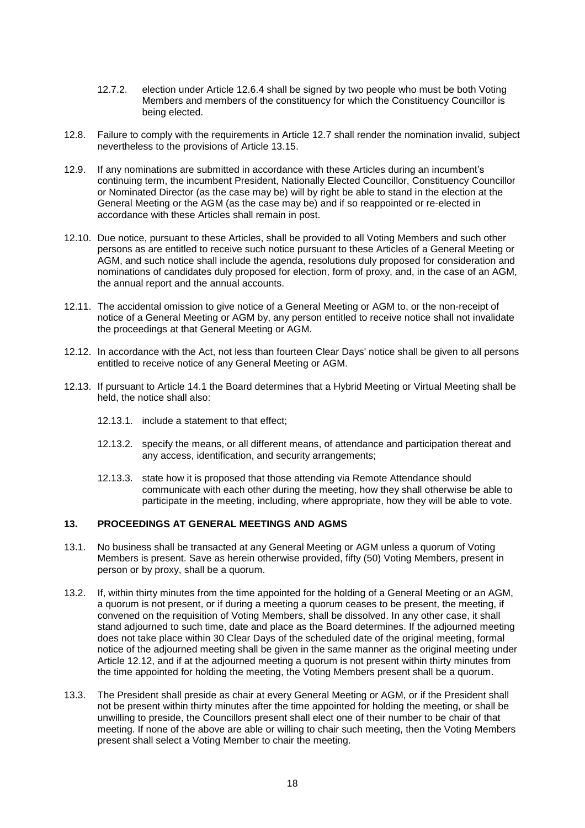- 12.7.2. election under Article [12.6.4](#page-17-5) shall be signed by two people who must be both Voting Members and members of the constituency for which the Constituency Councillor is being elected.
- 12.8. Failure to comply with the requirements in Article [12.7](#page-17-6) shall render the nomination invalid, subject nevertheless to the provisions of Article [13.15.](#page-19-0)
- 12.9. If any nominations are submitted in accordance with these Articles during an incumbent's continuing term, the incumbent President, Nationally Elected Councillor, Constituency Councillor or Nominated Director (as the case may be) will by right be able to stand in the election at the General Meeting or the AGM (as the case may be) and if so reappointed or re-elected in accordance with these Articles shall remain in post.
- 12.10. Due notice, pursuant to these Articles, shall be provided to all Voting Members and such other persons as are entitled to receive such notice pursuant to these Articles of a General Meeting or AGM, and such notice shall include the agenda, resolutions duly proposed for consideration and nominations of candidates duly proposed for election, form of proxy, and, in the case of an AGM, the annual report and the annual accounts.
- 12.11. The accidental omission to give notice of a General Meeting or AGM to, or the non-receipt of notice of a General Meeting or AGM by, any person entitled to receive notice shall not invalidate the proceedings at that General Meeting or AGM.
- <span id="page-18-1"></span>12.12. In accordance with the Act, not less than fourteen Clear Days' notice shall be given to all persons entitled to receive notice of any General Meeting or AGM.
- 12.13. If pursuant to Article [14.1](#page-20-4) the Board determines that a Hybrid Meeting or Virtual Meeting shall be held, the notice shall also:
	- 12.13.1. include a statement to that effect;
	- 12.13.2. specify the means, or all different means, of attendance and participation thereat and any access, identification, and security arrangements;
	- 12.13.3. state how it is proposed that those attending via Remote Attendance should communicate with each other during the meeting, how they shall otherwise be able to participate in the meeting, including, where appropriate, how they will be able to vote.

## <span id="page-18-0"></span>**13. PROCEEDINGS AT GENERAL MEETINGS AND AGMS**

- <span id="page-18-2"></span>13.1. No business shall be transacted at any General Meeting or AGM unless a quorum of Voting Members is present. Save as herein otherwise provided, fifty (50) Voting Members, present in person or by proxy, shall be a quorum.
- 13.2. If, within thirty minutes from the time appointed for the holding of a General Meeting or an AGM, a quorum is not present, or if during a meeting a quorum ceases to be present, the meeting, if convened on the requisition of Voting Members, shall be dissolved. In any other case, it shall stand adjourned to such time, date and place as the Board determines. If the adjourned meeting does not take place within 30 Clear Days of the scheduled date of the original meeting, formal notice of the adjourned meeting shall be given in the same manner as the original meeting under Article [12.12,](#page-18-1) and if at the adjourned meeting a quorum is not present within thirty minutes from the time appointed for holding the meeting, the Voting Members present shall be a quorum.
- 13.3. The President shall preside as chair at every General Meeting or AGM, or if the President shall not be present within thirty minutes after the time appointed for holding the meeting, or shall be unwilling to preside, the Councillors present shall elect one of their number to be chair of that meeting. If none of the above are able or willing to chair such meeting, then the Voting Members present shall select a Voting Member to chair the meeting.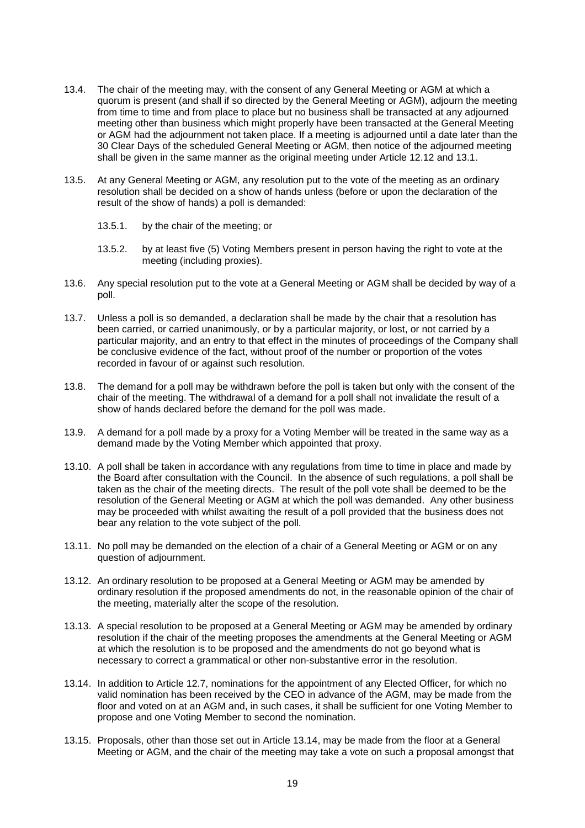- 13.4. The chair of the meeting may, with the consent of any General Meeting or AGM at which a quorum is present (and shall if so directed by the General Meeting or AGM), adjourn the meeting from time to time and from place to place but no business shall be transacted at any adjourned meeting other than business which might properly have been transacted at the General Meeting or AGM had the adjournment not taken place. If a meeting is adjourned until a date later than the 30 Clear Days of the scheduled General Meeting or AGM, then notice of the adjourned meeting shall be given in the same manner as the original meeting under Article [12.12](#page-18-1) and [13.1.](#page-18-2)
- 13.5. At any General Meeting or AGM, any resolution put to the vote of the meeting as an ordinary resolution shall be decided on a show of hands unless (before or upon the declaration of the result of the show of hands) a poll is demanded:
	- 13.5.1. by the chair of the meeting; or
	- 13.5.2. by at least five (5) Voting Members present in person having the right to vote at the meeting (including proxies).
- 13.6. Any special resolution put to the vote at a General Meeting or AGM shall be decided by way of a poll.
- 13.7. Unless a poll is so demanded, a declaration shall be made by the chair that a resolution has been carried, or carried unanimously, or by a particular majority, or lost, or not carried by a particular majority, and an entry to that effect in the minutes of proceedings of the Company shall be conclusive evidence of the fact, without proof of the number or proportion of the votes recorded in favour of or against such resolution.
- 13.8. The demand for a poll may be withdrawn before the poll is taken but only with the consent of the chair of the meeting. The withdrawal of a demand for a poll shall not invalidate the result of a show of hands declared before the demand for the poll was made.
- 13.9. A demand for a poll made by a proxy for a Voting Member will be treated in the same way as a demand made by the Voting Member which appointed that proxy.
- 13.10. A poll shall be taken in accordance with any regulations from time to time in place and made by the Board after consultation with the Council. In the absence of such regulations, a poll shall be taken as the chair of the meeting directs. The result of the poll vote shall be deemed to be the resolution of the General Meeting or AGM at which the poll was demanded. Any other business may be proceeded with whilst awaiting the result of a poll provided that the business does not bear any relation to the vote subject of the poll.
- 13.11. No poll may be demanded on the election of a chair of a General Meeting or AGM or on any question of adjournment.
- 13.12. An ordinary resolution to be proposed at a General Meeting or AGM may be amended by ordinary resolution if the proposed amendments do not, in the reasonable opinion of the chair of the meeting, materially alter the scope of the resolution.
- 13.13. A special resolution to be proposed at a General Meeting or AGM may be amended by ordinary resolution if the chair of the meeting proposes the amendments at the General Meeting or AGM at which the resolution is to be proposed and the amendments do not go beyond what is necessary to correct a grammatical or other non-substantive error in the resolution.
- <span id="page-19-1"></span>13.14. In addition to Article [12.7,](#page-17-6) nominations for the appointment of any Elected Officer, for which no valid nomination has been received by the CEO in advance of the AGM, may be made from the floor and voted on at an AGM and, in such cases, it shall be sufficient for one Voting Member to propose and one Voting Member to second the nomination.
- <span id="page-19-0"></span>13.15. Proposals, other than those set out in Article [13.14,](#page-19-1) may be made from the floor at a General Meeting or AGM, and the chair of the meeting may take a vote on such a proposal amongst that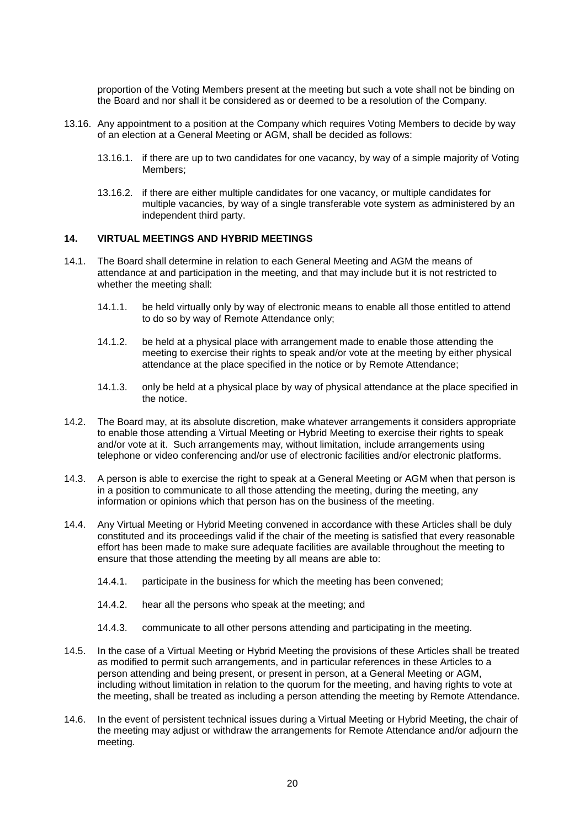proportion of the Voting Members present at the meeting but such a vote shall not be binding on the Board and nor shall it be considered as or deemed to be a resolution of the Company.

- <span id="page-20-5"></span>13.16. Any appointment to a position at the Company which requires Voting Members to decide by way of an election at a General Meeting or AGM, shall be decided as follows:
	- 13.16.1. if there are up to two candidates for one vacancy, by way of a simple majority of Voting Members;
	- 13.16.2. if there are either multiple candidates for one vacancy, or multiple candidates for multiple vacancies, by way of a single transferable vote system as administered by an independent third party.

### <span id="page-20-0"></span>**14. VIRTUAL MEETINGS AND HYBRID MEETINGS**

- <span id="page-20-4"></span><span id="page-20-3"></span><span id="page-20-1"></span>14.1. The Board shall determine in relation to each General Meeting and AGM the means of attendance at and participation in the meeting, and that may include but it is not restricted to whether the meeting shall:
	- 14.1.1. be held virtually only by way of electronic means to enable all those entitled to attend to do so by way of Remote Attendance only;
	- 14.1.2. be held at a physical place with arrangement made to enable those attending the meeting to exercise their rights to speak and/or vote at the meeting by either physical attendance at the place specified in the notice or by Remote Attendance;
	- 14.1.3. only be held at a physical place by way of physical attendance at the place specified in the notice.
- <span id="page-20-2"></span>14.2. The Board may, at its absolute discretion, make whatever arrangements it considers appropriate to enable those attending a Virtual Meeting or Hybrid Meeting to exercise their rights to speak and/or vote at it. Such arrangements may, without limitation, include arrangements using telephone or video conferencing and/or use of electronic facilities and/or electronic platforms.
- 14.3. A person is able to exercise the right to speak at a General Meeting or AGM when that person is in a position to communicate to all those attending the meeting, during the meeting, any information or opinions which that person has on the business of the meeting.
- 14.4. Any Virtual Meeting or Hybrid Meeting convened in accordance with these Articles shall be duly constituted and its proceedings valid if the chair of the meeting is satisfied that every reasonable effort has been made to make sure adequate facilities are available throughout the meeting to ensure that those attending the meeting by all means are able to:
	- 14.4.1. participate in the business for which the meeting has been convened;
	- 14.4.2. hear all the persons who speak at the meeting; and
	- 14.4.3. communicate to all other persons attending and participating in the meeting.
- 14.5. In the case of a Virtual Meeting or Hybrid Meeting the provisions of these Articles shall be treated as modified to permit such arrangements, and in particular references in these Articles to a person attending and being present, or present in person, at a General Meeting or AGM, including without limitation in relation to the quorum for the meeting, and having rights to vote at the meeting, shall be treated as including a person attending the meeting by Remote Attendance.
- 14.6. In the event of persistent technical issues during a Virtual Meeting or Hybrid Meeting, the chair of the meeting may adjust or withdraw the arrangements for Remote Attendance and/or adjourn the meeting.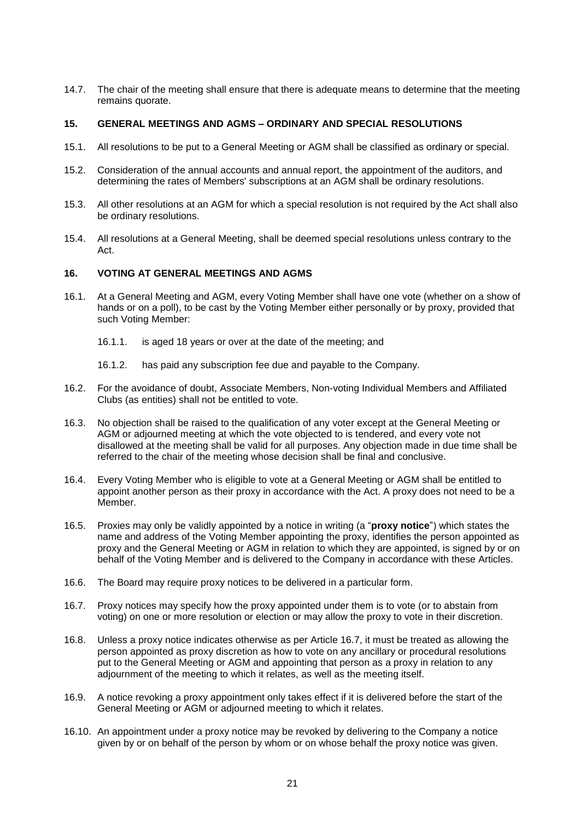14.7. The chair of the meeting shall ensure that there is adequate means to determine that the meeting remains quorate.

## <span id="page-21-0"></span>**15. GENERAL MEETINGS AND AGMS – ORDINARY AND SPECIAL RESOLUTIONS**

- 15.1. All resolutions to be put to a General Meeting or AGM shall be classified as ordinary or special.
- 15.2. Consideration of the annual accounts and annual report, the appointment of the auditors, and determining the rates of Members' subscriptions at an AGM shall be ordinary resolutions.
- 15.3. All other resolutions at an AGM for which a special resolution is not required by the Act shall also be ordinary resolutions.
- <span id="page-21-2"></span>15.4. All resolutions at a General Meeting, shall be deemed special resolutions unless contrary to the Act.

### <span id="page-21-1"></span>**16. VOTING AT GENERAL MEETINGS AND AGMS**

- <span id="page-21-3"></span>16.1. At a General Meeting and AGM, every Voting Member shall have one vote (whether on a show of hands or on a poll), to be cast by the Voting Member either personally or by proxy, provided that such Voting Member:
	- 16.1.1. is aged 18 years or over at the date of the meeting; and
	- 16.1.2. has paid any subscription fee due and payable to the Company.
- 16.2. For the avoidance of doubt, Associate Members, Non-voting Individual Members and Affiliated Clubs (as entities) shall not be entitled to vote.
- 16.3. No objection shall be raised to the qualification of any voter except at the General Meeting or AGM or adjourned meeting at which the vote objected to is tendered, and every vote not disallowed at the meeting shall be valid for all purposes. Any objection made in due time shall be referred to the chair of the meeting whose decision shall be final and conclusive.
- 16.4. Every Voting Member who is eligible to vote at a General Meeting or AGM shall be entitled to appoint another person as their proxy in accordance with the Act. A proxy does not need to be a Member.
- 16.5. Proxies may only be validly appointed by a notice in writing (a "**proxy notice**") which states the name and address of the Voting Member appointing the proxy, identifies the person appointed as proxy and the General Meeting or AGM in relation to which they are appointed, is signed by or on behalf of the Voting Member and is delivered to the Company in accordance with these Articles.
- 16.6. The Board may require proxy notices to be delivered in a particular form.
- <span id="page-21-4"></span>16.7. Proxy notices may specify how the proxy appointed under them is to vote (or to abstain from voting) on one or more resolution or election or may allow the proxy to vote in their discretion.
- 16.8. Unless a proxy notice indicates otherwise as per Article [16.7,](#page-21-4) it must be treated as allowing the person appointed as proxy discretion as how to vote on any ancillary or procedural resolutions put to the General Meeting or AGM and appointing that person as a proxy in relation to any adjournment of the meeting to which it relates, as well as the meeting itself.
- 16.9. A notice revoking a proxy appointment only takes effect if it is delivered before the start of the General Meeting or AGM or adjourned meeting to which it relates.
- 16.10. An appointment under a proxy notice may be revoked by delivering to the Company a notice given by or on behalf of the person by whom or on whose behalf the proxy notice was given.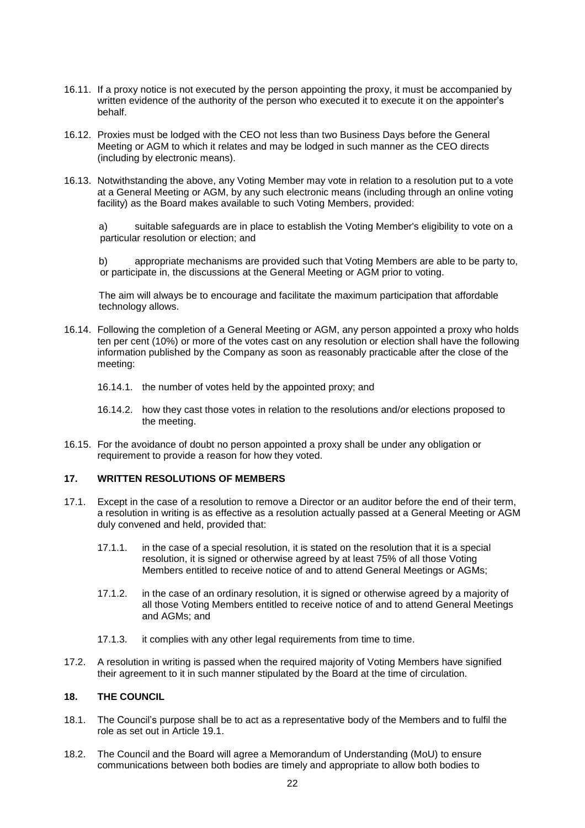- 16.11. If a proxy notice is not executed by the person appointing the proxy, it must be accompanied by written evidence of the authority of the person who executed it to execute it on the appointer's behalf.
- 16.12. Proxies must be lodged with the CEO not less than two Business Days before the General Meeting or AGM to which it relates and may be lodged in such manner as the CEO directs (including by electronic means).
- 16.13. Notwithstanding the above, any Voting Member may vote in relation to a resolution put to a vote at a General Meeting or AGM, by any such electronic means (including through an online voting facility) as the Board makes available to such Voting Members, provided:

a) suitable safeguards are in place to establish the Voting Member's eligibility to vote on a particular resolution or election; and

b) appropriate mechanisms are provided such that Voting Members are able to be party to, or participate in, the discussions at the General Meeting or AGM prior to voting.

The aim will always be to encourage and facilitate the maximum participation that affordable technology allows.

- 16.14. Following the completion of a General Meeting or AGM, any person appointed a proxy who holds ten per cent (10%) or more of the votes cast on any resolution or election shall have the following information published by the Company as soon as reasonably practicable after the close of the meeting:
	- 16.14.1. the number of votes held by the appointed proxy; and
	- 16.14.2. how they cast those votes in relation to the resolutions and/or elections proposed to the meeting.
- 16.15. For the avoidance of doubt no person appointed a proxy shall be under any obligation or requirement to provide a reason for how they voted.

## <span id="page-22-0"></span>**17. WRITTEN RESOLUTIONS OF MEMBERS**

- 17.1. Except in the case of a resolution to remove a Director or an auditor before the end of their term, a resolution in writing is as effective as a resolution actually passed at a General Meeting or AGM duly convened and held, provided that:
	- 17.1.1. in the case of a special resolution, it is stated on the resolution that it is a special resolution, it is signed or otherwise agreed by at least 75% of all those Voting Members entitled to receive notice of and to attend General Meetings or AGMs;
	- 17.1.2. in the case of an ordinary resolution, it is signed or otherwise agreed by a majority of all those Voting Members entitled to receive notice of and to attend General Meetings and AGMs; and
	- 17.1.3. it complies with any other legal requirements from time to time.
- 17.2. A resolution in writing is passed when the required majority of Voting Members have signified their agreement to it in such manner stipulated by the Board at the time of circulation.

## <span id="page-22-1"></span>**18. THE COUNCIL**

- 18.1. The Council's purpose shall be to act as a representative body of the Members and to fulfil the role as set out in Article [19.1.](#page-25-2)
- 18.2. The Council and the Board will agree a Memorandum of Understanding (MoU) to ensure communications between both bodies are timely and appropriate to allow both bodies to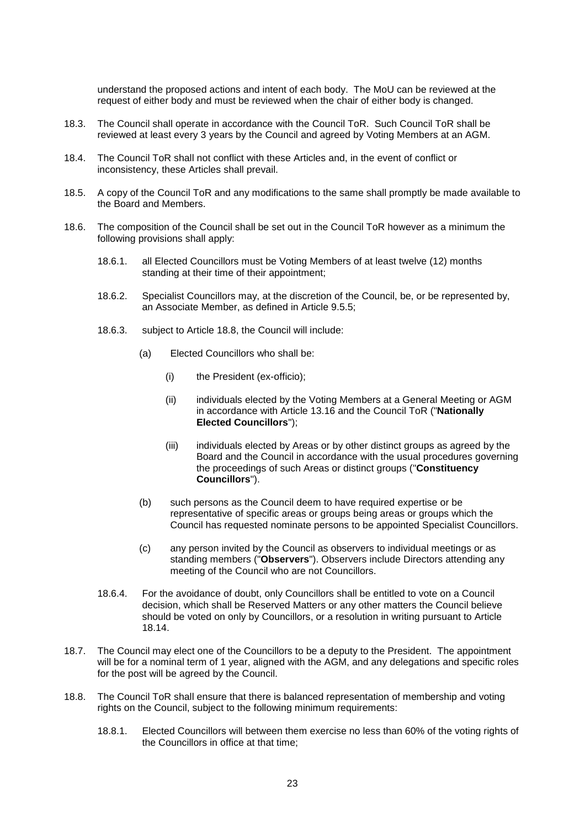understand the proposed actions and intent of each body. The MoU can be reviewed at the request of either body and must be reviewed when the chair of either body is changed.

- 18.3. The Council shall operate in accordance with the Council ToR. Such Council ToR shall be reviewed at least every 3 years by the Council and agreed by Voting Members at an AGM.
- 18.4. The Council ToR shall not conflict with these Articles and, in the event of conflict or inconsistency, these Articles shall prevail.
- 18.5. A copy of the Council ToR and any modifications to the same shall promptly be made available to the Board and Members.
- <span id="page-23-5"></span><span id="page-23-2"></span><span id="page-23-0"></span>18.6. The composition of the Council shall be set out in the Council ToR however as a minimum the following provisions shall apply:
	- 18.6.1. all Elected Councillors must be Voting Members of at least twelve (12) months standing at their time of their appointment;
	- 18.6.2. Specialist Councillors may, at the discretion of the Council, be, or be represented by, an Associate Member, as defined in Article [9.5.5;](#page-12-2)
	- 18.6.3. subject to Article [18.8,](#page-23-4) the Council will include:
		- (a) Elected Councillors who shall be:
			- (i) the President (ex-officio);
			- (ii) individuals elected by the Voting Members at a General Meeting or AGM in accordance with Article [13.16](#page-20-5) and the Council ToR ("**Nationally Elected Councillors**");
			- (iii) individuals elected by Areas or by other distinct groups as agreed by the Board and the Council in accordance with the usual procedures governing the proceedings of such Areas or distinct groups ("**Constituency Councillors**").
		- (b) such persons as the Council deem to have required expertise or be representative of specific areas or groups being areas or groups which the Council has requested nominate persons to be appointed Specialist Councillors.
		- (c) any person invited by the Council as observers to individual meetings or as standing members ("**Observers**"). Observers include Directors attending any meeting of the Council who are not Councillors.
	- 18.6.4. For the avoidance of doubt, only Councillors shall be entitled to vote on a Council decision, which shall be Reserved Matters or any other matters the Council believe should be voted on only by Councillors, or a resolution in writing pursuant to Article [18.14.](#page-24-0)
- <span id="page-23-3"></span><span id="page-23-1"></span>18.7. The Council may elect one of the Councillors to be a deputy to the President. The appointment will be for a nominal term of 1 year, aligned with the AGM, and any delegations and specific roles for the post will be agreed by the Council.
- <span id="page-23-4"></span>18.8. The Council ToR shall ensure that there is balanced representation of membership and voting rights on the Council, subject to the following minimum requirements:
	- 18.8.1. Elected Councillors will between them exercise no less than 60% of the voting rights of the Councillors in office at that time;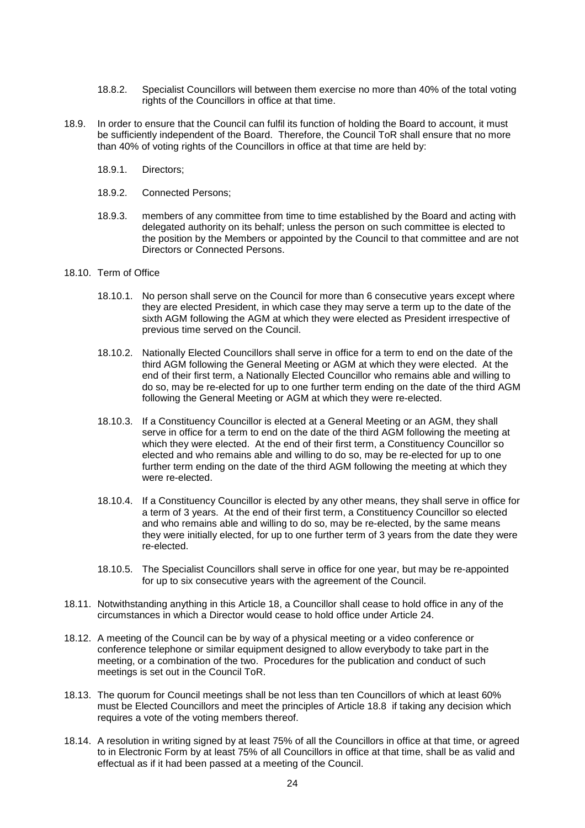- 18.8.2. Specialist Councillors will between them exercise no more than 40% of the total voting rights of the Councillors in office at that time.
- 18.9. In order to ensure that the Council can fulfil its function of holding the Board to account, it must be sufficiently independent of the Board. Therefore, the Council ToR shall ensure that no more than 40% of voting rights of the Councillors in office at that time are held by:
	- 18.9.1. Directors;
	- 18.9.2. Connected Persons;
	- 18.9.3. members of any committee from time to time established by the Board and acting with delegated authority on its behalf; unless the person on such committee is elected to the position by the Members or appointed by the Council to that committee and are not Directors or Connected Persons.
- 18.10. Term of Office
	- 18.10.1. No person shall serve on the Council for more than 6 consecutive years except where they are elected President, in which case they may serve a term up to the date of the sixth AGM following the AGM at which they were elected as President irrespective of previous time served on the Council.
	- 18.10.2. Nationally Elected Councillors shall serve in office for a term to end on the date of the third AGM following the General Meeting or AGM at which they were elected. At the end of their first term, a Nationally Elected Councillor who remains able and willing to do so, may be re-elected for up to one further term ending on the date of the third AGM following the General Meeting or AGM at which they were re-elected.
	- 18.10.3. If a Constituency Councillor is elected at a General Meeting or an AGM, they shall serve in office for a term to end on the date of the third AGM following the meeting at which they were elected. At the end of their first term, a Constituency Councillor so elected and who remains able and willing to do so, may be re-elected for up to one further term ending on the date of the third AGM following the meeting at which they were re-elected.
	- 18.10.4. If a Constituency Councillor is elected by any other means, they shall serve in office for a term of 3 years. At the end of their first term, a Constituency Councillor so elected and who remains able and willing to do so, may be re-elected, by the same means they were initially elected, for up to one further term of 3 years from the date they were re-elected.
	- 18.10.5. The Specialist Councillors shall serve in office for one year, but may be re-appointed for up to six consecutive years with the agreement of the Council.
- 18.11. Notwithstanding anything in this Article [18,](#page-22-1) a Councillor shall cease to hold office in any of the circumstances in which a Director would cease to hold office under Article [24.](#page-30-0)
- 18.12. A meeting of the Council can be by way of a physical meeting or a video conference or conference telephone or similar equipment designed to allow everybody to take part in the meeting, or a combination of the two. Procedures for the publication and conduct of such meetings is set out in the Council ToR.
- 18.13. The quorum for Council meetings shall be not less than ten Councillors of which at least 60% must be Elected Councillors and meet the principles of Article [18.8](#page-23-4) if taking any decision which requires a vote of the voting members thereof.
- <span id="page-24-0"></span>18.14. A resolution in writing signed by at least 75% of all the Councillors in office at that time, or agreed to in Electronic Form by at least 75% of all Councillors in office at that time, shall be as valid and effectual as if it had been passed at a meeting of the Council.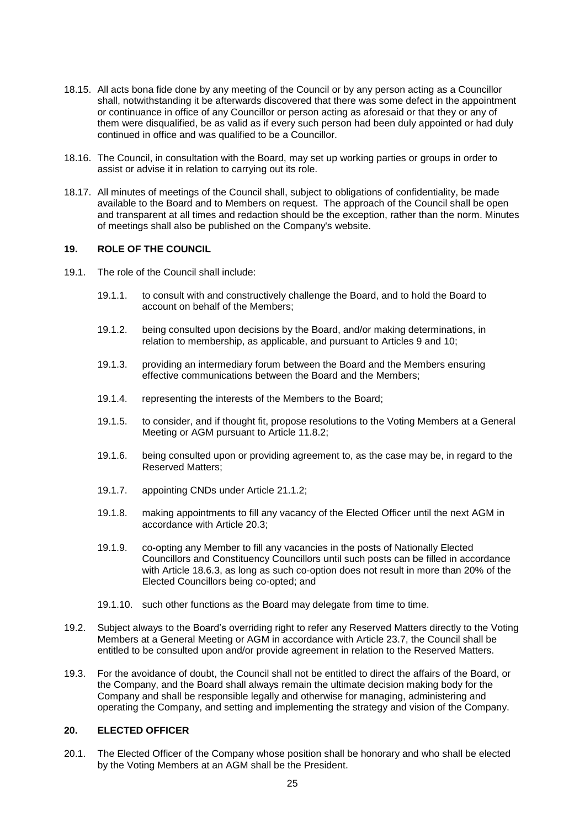- 18.15. All acts bona fide done by any meeting of the Council or by any person acting as a Councillor shall, notwithstanding it be afterwards discovered that there was some defect in the appointment or continuance in office of any Councillor or person acting as aforesaid or that they or any of them were disqualified, be as valid as if every such person had been duly appointed or had duly continued in office and was qualified to be a Councillor.
- 18.16. The Council, in consultation with the Board, may set up working parties or groups in order to assist or advise it in relation to carrying out its role.
- 18.17. All minutes of meetings of the Council shall, subject to obligations of confidentiality, be made available to the Board and to Members on request. The approach of the Council shall be open and transparent at all times and redaction should be the exception, rather than the norm. Minutes of meetings shall also be published on the Company's website.

## <span id="page-25-0"></span>**19. ROLE OF THE COUNCIL**

- <span id="page-25-2"></span>19.1. The role of the Council shall include:
	- 19.1.1. to consult with and constructively challenge the Board, and to hold the Board to account on behalf of the Members;
	- 19.1.2. being consulted upon decisions by the Board, and/or making determinations, in relation to membership, as applicable, and pursuant to Articles [9](#page-12-1) and [10;](#page-14-0)
	- 19.1.3. providing an intermediary forum between the Board and the Members ensuring effective communications between the Board and the Members;
	- 19.1.4. representing the interests of the Members to the Board;
	- 19.1.5. to consider, and if thought fit, propose resolutions to the Voting Members at a General Meeting or AGM pursuant to Article [11.8.2;](#page-16-2)
	- 19.1.6. being consulted upon or providing agreement to, as the case may be, in regard to the Reserved Matters;
	- 19.1.7. appointing CNDs under Article [21.1.2;](#page-26-1)
	- 19.1.8. making appointments to fill any vacancy of the Elected Officer until the next AGM in accordance with Article [20.3;](#page-26-2)
	- 19.1.9. co-opting any Member to fill any vacancies in the posts of Nationally Elected Councillors and Constituency Councillors until such posts can be filled in accordance with Article [18.6.3,](#page-23-5) as long as such co-option does not result in more than 20% of the Elected Councillors being co-opted; and
	- 19.1.10. such other functions as the Board may delegate from time to time.
- 19.2. Subject always to the Board's overriding right to refer any Reserved Matters directly to the Voting Members at a General Meeting or AGM in accordance with Article [23.7,](#page-29-1) the Council shall be entitled to be consulted upon and/or provide agreement in relation to the Reserved Matters.
- 19.3. For the avoidance of doubt, the Council shall not be entitled to direct the affairs of the Board, or the Company, and the Board shall always remain the ultimate decision making body for the Company and shall be responsible legally and otherwise for managing, administering and operating the Company, and setting and implementing the strategy and vision of the Company.

## <span id="page-25-1"></span>**20. ELECTED OFFICER**

20.1. The Elected Officer of the Company whose position shall be honorary and who shall be elected by the Voting Members at an AGM shall be the President.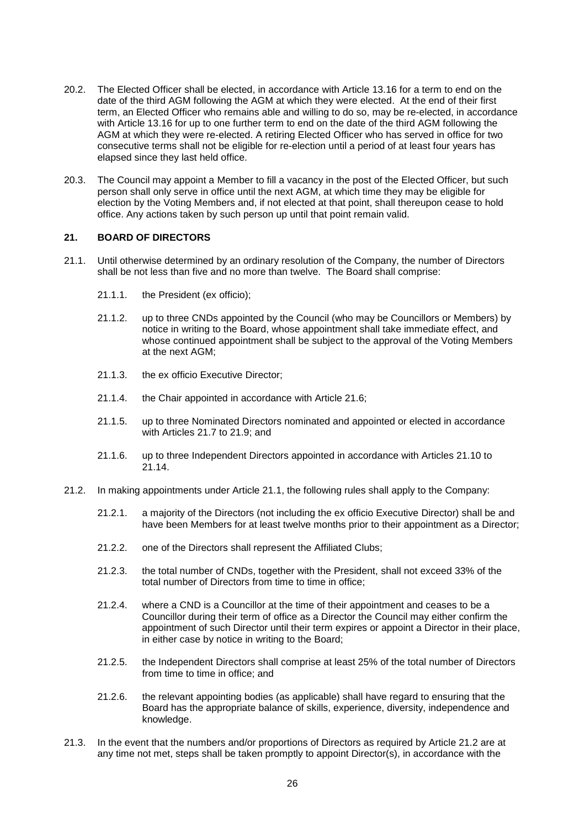- 20.2. The Elected Officer shall be elected, in accordance with Article [13.16](#page-20-5) for a term to end on the date of the third AGM following the AGM at which they were elected. At the end of their first term, an Elected Officer who remains able and willing to do so, may be re-elected, in accordance with Article [13.16](#page-20-5) for up to one further term to end on the date of the third AGM following the AGM at which they were re-elected. A retiring Elected Officer who has served in office for two consecutive terms shall not be eligible for re-election until a period of at least four years has elapsed since they last held office.
- <span id="page-26-2"></span>20.3. The Council may appoint a Member to fill a vacancy in the post of the Elected Officer, but such person shall only serve in office until the next AGM, at which time they may be eligible for election by the Voting Members and, if not elected at that point, shall thereupon cease to hold office. Any actions taken by such person up until that point remain valid.

### <span id="page-26-0"></span>**21. BOARD OF DIRECTORS**

- <span id="page-26-3"></span><span id="page-26-1"></span>21.1. Until otherwise determined by an ordinary resolution of the Company, the number of Directors shall be not less than five and no more than twelve. The Board shall comprise:
	- 21.1.1. the President (ex officio);
	- 21.1.2. up to three CNDs appointed by the Council (who may be Councillors or Members) by notice in writing to the Board, whose appointment shall take immediate effect, and whose continued appointment shall be subject to the approval of the Voting Members at the next AGM;
	- 21.1.3. the ex officio Executive Director;
	- 21.1.4. the Chair appointed in accordance with Article [21.6;](#page-27-3)
	- 21.1.5. up to three Nominated Directors nominated and appointed or elected in accordance with Articles [21.7](#page-27-1) to [21.9;](#page-27-4) and
	- 21.1.6. up to three Independent Directors appointed in accordance with Articles [21.10](#page-27-5) to [21.14.](#page-28-2)
- <span id="page-26-4"></span>21.2. In making appointments under Article [21.1,](#page-26-3) the following rules shall apply to the Company:
	- 21.2.1. a majority of the Directors (not including the ex officio Executive Director) shall be and have been Members for at least twelve months prior to their appointment as a Director;
	- 21.2.2. one of the Directors shall represent the Affiliated Clubs;
	- 21.2.3. the total number of CNDs, together with the President, shall not exceed 33% of the total number of Directors from time to time in office;
	- 21.2.4. where a CND is a Councillor at the time of their appointment and ceases to be a Councillor during their term of office as a Director the Council may either confirm the appointment of such Director until their term expires or appoint a Director in their place, in either case by notice in writing to the Board;
	- 21.2.5. the Independent Directors shall comprise at least 25% of the total number of Directors from time to time in office; and
	- 21.2.6. the relevant appointing bodies (as applicable) shall have regard to ensuring that the Board has the appropriate balance of skills, experience, diversity, independence and knowledge.
- <span id="page-26-5"></span>21.3. In the event that the numbers and/or proportions of Directors as required by Article [21.2](#page-26-4) are at any time not met, steps shall be taken promptly to appoint Director(s), in accordance with the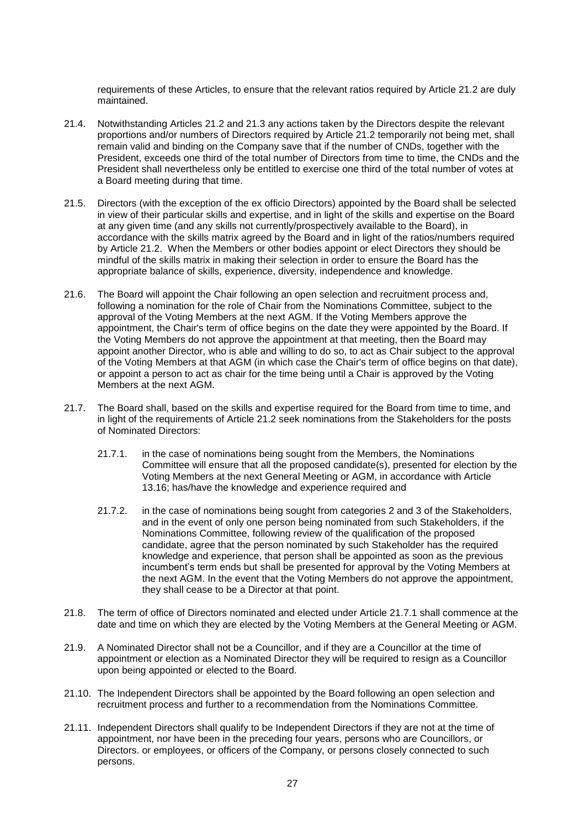requirements of these Articles, to ensure that the relevant ratios required by Article [21.2](#page-26-4) are duly maintained.

- <span id="page-27-7"></span>21.4. Notwithstanding Articles [21.2](#page-26-4) and [21.3](#page-26-5) any actions taken by the Directors despite the relevant proportions and/or numbers of Directors required by Article [21.2](#page-26-4) temporarily not being met, shall remain valid and binding on the Company save that if the number of CNDs, together with the President, exceeds one third of the total number of Directors from time to time, the CNDs and the President shall nevertheless only be entitled to exercise one third of the total number of votes at a Board meeting during that time.
- 21.5. Directors (with the exception of the ex officio Directors) appointed by the Board shall be selected in view of their particular skills and expertise, and in light of the skills and expertise on the Board at any given time (and any skills not currently/prospectively available to the Board), in accordance with the skills matrix agreed by the Board and in light of the ratios/numbers required by Article [21.2.](#page-26-4) When the Members or other bodies appoint or elect Directors they should be mindful of the skills matrix in making their selection in order to ensure the Board has the appropriate balance of skills, experience, diversity, independence and knowledge.
- <span id="page-27-3"></span>21.6. The Board will appoint the Chair following an open selection and recruitment process and, following a nomination for the role of Chair from the Nominations Committee, subject to the approval of the Voting Members at the next AGM. If the Voting Members approve the appointment, the Chair's term of office begins on the date they were appointed by the Board. If the Voting Members do not approve the appointment at that meeting, then the Board may appoint another Director, who is able and willing to do so, to act as Chair subject to the approval of the Voting Members at that AGM (in which case the Chair's term of office begins on that date), or appoint a person to act as chair for the time being until a Chair is approved by the Voting Members at the next AGM.
- <span id="page-27-2"></span><span id="page-27-1"></span>21.7. The Board shall, based on the skills and expertise required for the Board from time to time, and in light of the requirements of Article [21.2](#page-26-4) seek nominations from the Stakeholders for the posts of Nominated Directors:
	- 21.7.1. in the case of nominations being sought from the Members, the Nominations Committee will ensure that all the proposed candidate(s), presented for election by the Voting Members at the next General Meeting or AGM, in accordance with Article [13.16;](#page-20-5) has/have the knowledge and experience required and
	- 21.7.2. in the case of nominations being sought from categories 2 and 3 of the Stakeholders, and in the event of only one person being nominated from such Stakeholders, if the Nominations Committee, following review of the qualification of the proposed candidate, agree that the person nominated by such Stakeholder has the required knowledge and experience, that person shall be appointed as soon as the previous incumbent's term ends but shall be presented for approval by the Voting Members at the next AGM. In the event that the Voting Members do not approve the appointment, they shall cease to be a Director at that point.
- <span id="page-27-6"></span>21.8. The term of office of Directors nominated and elected under Article [21.7.1](#page-27-2) shall commence at the date and time on which they are elected by the Voting Members at the General Meeting or AGM.
- <span id="page-27-4"></span>21.9. A Nominated Director shall not be a Councillor, and if they are a Councillor at the time of appointment or election as a Nominated Director they will be required to resign as a Councillor upon being appointed or elected to the Board.
- <span id="page-27-5"></span>21.10. The Independent Directors shall be appointed by the Board following an open selection and recruitment process and further to a recommendation from the Nominations Committee.
- <span id="page-27-0"></span>21.11. Independent Directors shall qualify to be Independent Directors if they are not at the time of appointment, nor have been in the preceding four years, persons who are Councillors, or Directors. or employees, or officers of the Company, or persons closely connected to such persons.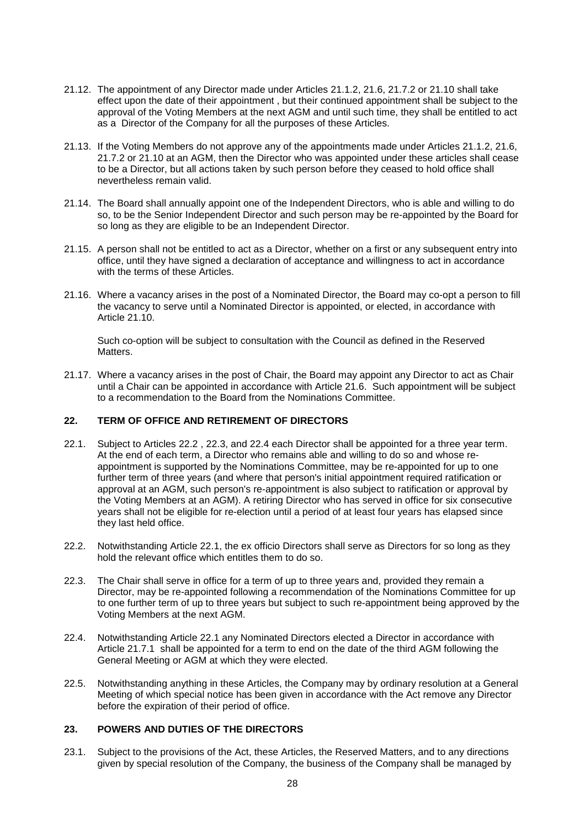- 21.12. The appointment of any Director made under Articles [21.1.2,](#page-26-1) [21.6,](#page-27-3) [21.7.2](#page-27-6) or [21.10](#page-27-5) shall take effect upon the date of their appointment , but their continued appointment shall be subject to the approval of the Voting Members at the next AGM and until such time, they shall be entitled to act as a Director of the Company for all the purposes of these Articles.
- 21.13. If the Voting Members do not approve any of the appointments made under Articles [21.1.2,](#page-26-1) [21.6,](#page-27-3) [21.7.2](#page-27-6) or [21.10](#page-27-5) at an AGM, then the Director who was appointed under these articles shall cease to be a Director, but all actions taken by such person before they ceased to hold office shall nevertheless remain valid.
- <span id="page-28-2"></span>21.14. The Board shall annually appoint one of the Independent Directors, who is able and willing to do so, to be the Senior Independent Director and such person may be re-appointed by the Board for so long as they are eligible to be an Independent Director.
- 21.15. A person shall not be entitled to act as a Director, whether on a first or any subsequent entry into office, until they have signed a declaration of acceptance and willingness to act in accordance with the terms of these Articles.
- 21.16. Where a vacancy arises in the post of a Nominated Director, the Board may co-opt a person to fill the vacancy to serve until a Nominated Director is appointed, or elected, in accordance with Article [21.10.](#page-27-5)

Such co-option will be subject to consultation with the Council as defined in the Reserved Matters.

21.17. Where a vacancy arises in the post of Chair, the Board may appoint any Director to act as Chair until a Chair can be appointed in accordance with Article [21.6.](#page-27-3) Such appointment will be subject to a recommendation to the Board from the Nominations Committee.

## <span id="page-28-0"></span>**22. TERM OF OFFICE AND RETIREMENT OF DIRECTORS**

- <span id="page-28-6"></span>22.1. Subject to Articles [22.2](#page-28-3) , [22.3,](#page-28-4) and [22.4](#page-28-5) each Director shall be appointed for a three year term. At the end of each term, a Director who remains able and willing to do so and whose reappointment is supported by the Nominations Committee, may be re-appointed for up to one further term of three years (and where that person's initial appointment required ratification or approval at an AGM, such person's re-appointment is also subject to ratification or approval by the Voting Members at an AGM). A retiring Director who has served in office for six consecutive years shall not be eligible for re-election until a period of at least four years has elapsed since they last held office.
- <span id="page-28-3"></span>22.2. Notwithstanding Article [22.1,](#page-28-6) the ex officio Directors shall serve as Directors for so long as they hold the relevant office which entitles them to do so.
- <span id="page-28-4"></span>22.3. The Chair shall serve in office for a term of up to three years and, provided they remain a Director, may be re-appointed following a recommendation of the Nominations Committee for up to one further term of up to three years but subject to such re-appointment being approved by the Voting Members at the next AGM.
- <span id="page-28-5"></span>22.4. Notwithstanding Article [22.1](#page-28-6) any Nominated Directors elected a Director in accordance with Article [21.7.1](#page-27-2) shall be appointed for a term to end on the date of the third AGM following the General Meeting or AGM at which they were elected.
- 22.5. Notwithstanding anything in these Articles, the Company may by ordinary resolution at a General Meeting of which special notice has been given in accordance with the Act remove any Director before the expiration of their period of office.

### <span id="page-28-1"></span>**23. POWERS AND DUTIES OF THE DIRECTORS**

23.1. Subject to the provisions of the Act, these Articles, the Reserved Matters, and to any directions given by special resolution of the Company, the business of the Company shall be managed by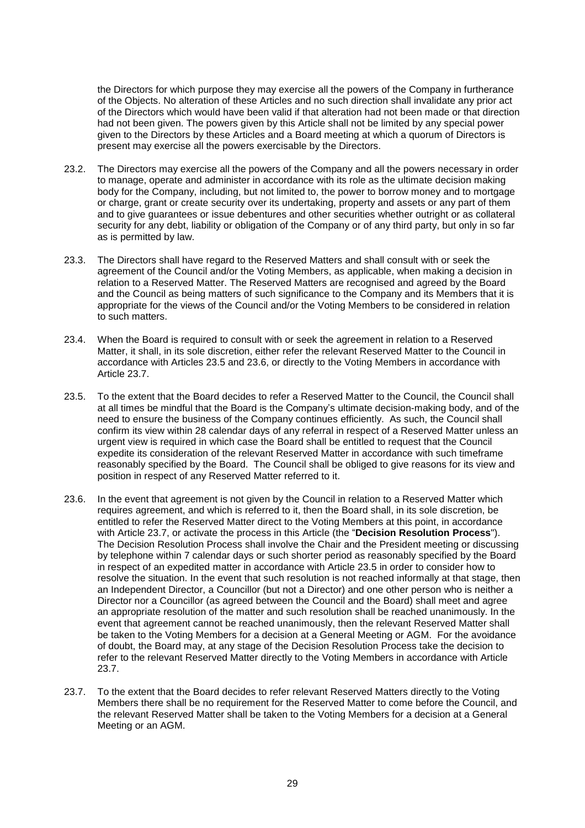the Directors for which purpose they may exercise all the powers of the Company in furtherance of the Objects. No alteration of these Articles and no such direction shall invalidate any prior act of the Directors which would have been valid if that alteration had not been made or that direction had not been given. The powers given by this Article shall not be limited by any special power given to the Directors by these Articles and a Board meeting at which a quorum of Directors is present may exercise all the powers exercisable by the Directors.

- 23.2. The Directors may exercise all the powers of the Company and all the powers necessary in order to manage, operate and administer in accordance with its role as the ultimate decision making body for the Company, including, but not limited to, the power to borrow money and to mortgage or charge, grant or create security over its undertaking, property and assets or any part of them and to give guarantees or issue debentures and other securities whether outright or as collateral security for any debt, liability or obligation of the Company or of any third party, but only in so far as is permitted by law.
- <span id="page-29-0"></span>23.3. The Directors shall have regard to the Reserved Matters and shall consult with or seek the agreement of the Council and/or the Voting Members, as applicable, when making a decision in relation to a Reserved Matter. The Reserved Matters are recognised and agreed by the Board and the Council as being matters of such significance to the Company and its Members that it is appropriate for the views of the Council and/or the Voting Members to be considered in relation to such matters.
- 23.4. When the Board is required to consult with or seek the agreement in relation to a Reserved Matter, it shall, in its sole discretion, either refer the relevant Reserved Matter to the Council in accordance with Articles [23.5](#page-29-2) and [23.6,](#page-29-3) or directly to the Voting Members in accordance with Article [23.7.](#page-29-1)
- <span id="page-29-2"></span>23.5. To the extent that the Board decides to refer a Reserved Matter to the Council, the Council shall at all times be mindful that the Board is the Company's ultimate decision-making body, and of the need to ensure the business of the Company continues efficiently. As such, the Council shall confirm its view within 28 calendar days of any referral in respect of a Reserved Matter unless an urgent view is required in which case the Board shall be entitled to request that the Council expedite its consideration of the relevant Reserved Matter in accordance with such timeframe reasonably specified by the Board. The Council shall be obliged to give reasons for its view and position in respect of any Reserved Matter referred to it.
- <span id="page-29-3"></span>23.6. In the event that agreement is not given by the Council in relation to a Reserved Matter which requires agreement, and which is referred to it, then the Board shall, in its sole discretion, be entitled to refer the Reserved Matter direct to the Voting Members at this point, in accordance with Article [23.7,](#page-29-1) or activate the process in this Article (the "**Decision Resolution Process**"). The Decision Resolution Process shall involve the Chair and the President meeting or discussing by telephone within 7 calendar days or such shorter period as reasonably specified by the Board in respect of an expedited matter in accordance with Article [23.5](#page-29-2) in order to consider how to resolve the situation. In the event that such resolution is not reached informally at that stage, then an Independent Director, a Councillor (but not a Director) and one other person who is neither a Director nor a Councillor (as agreed between the Council and the Board) shall meet and agree an appropriate resolution of the matter and such resolution shall be reached unanimously. In the event that agreement cannot be reached unanimously, then the relevant Reserved Matter shall be taken to the Voting Members for a decision at a General Meeting or AGM. For the avoidance of doubt, the Board may, at any stage of the Decision Resolution Process take the decision to refer to the relevant Reserved Matter directly to the Voting Members in accordance with Article [23.7.](#page-29-1)
- <span id="page-29-1"></span>23.7. To the extent that the Board decides to refer relevant Reserved Matters directly to the Voting Members there shall be no requirement for the Reserved Matter to come before the Council, and the relevant Reserved Matter shall be taken to the Voting Members for a decision at a General Meeting or an AGM.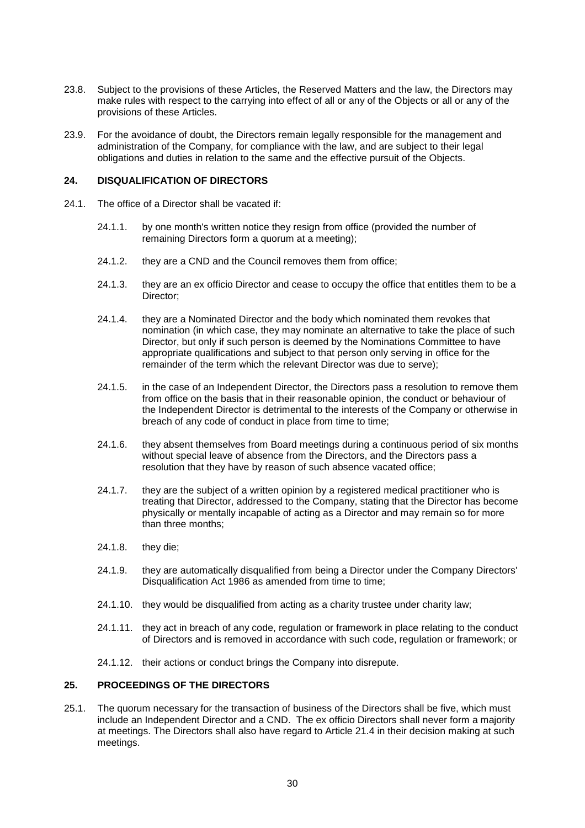- 23.8. Subject to the provisions of these Articles, the Reserved Matters and the law, the Directors may make rules with respect to the carrying into effect of all or any of the Objects or all or any of the provisions of these Articles.
- 23.9. For the avoidance of doubt, the Directors remain legally responsible for the management and administration of the Company, for compliance with the law, and are subject to their legal obligations and duties in relation to the same and the effective pursuit of the Objects.

#### <span id="page-30-0"></span>**24. DISQUALIFICATION OF DIRECTORS**

- 24.1. The office of a Director shall be vacated if:
	- 24.1.1. by one month's written notice they resign from office (provided the number of remaining Directors form a quorum at a meeting);
	- 24.1.2. they are a CND and the Council removes them from office;
	- 24.1.3. they are an ex officio Director and cease to occupy the office that entitles them to be a Director;
	- 24.1.4. they are a Nominated Director and the body which nominated them revokes that nomination (in which case, they may nominate an alternative to take the place of such Director, but only if such person is deemed by the Nominations Committee to have appropriate qualifications and subject to that person only serving in office for the remainder of the term which the relevant Director was due to serve);
	- 24.1.5. in the case of an Independent Director, the Directors pass a resolution to remove them from office on the basis that in their reasonable opinion, the conduct or behaviour of the Independent Director is detrimental to the interests of the Company or otherwise in breach of any code of conduct in place from time to time;
	- 24.1.6. they absent themselves from Board meetings during a continuous period of six months without special leave of absence from the Directors, and the Directors pass a resolution that they have by reason of such absence vacated office;
	- 24.1.7. they are the subject of a written opinion by a registered medical practitioner who is treating that Director, addressed to the Company, stating that the Director has become physically or mentally incapable of acting as a Director and may remain so for more than three months;
	- 24.1.8. they die;
	- 24.1.9. they are automatically disqualified from being a Director under the Company Directors' Disqualification Act 1986 as amended from time to time;
	- 24.1.10. they would be disqualified from acting as a charity trustee under charity law;
	- 24.1.11. they act in breach of any code, regulation or framework in place relating to the conduct of Directors and is removed in accordance with such code, regulation or framework; or
	- 24.1.12. their actions or conduct brings the Company into disrepute.

### <span id="page-30-1"></span>**25. PROCEEDINGS OF THE DIRECTORS**

25.1. The quorum necessary for the transaction of business of the Directors shall be five, which must include an Independent Director and a CND. The ex officio Directors shall never form a majority at meetings. The Directors shall also have regard to Article [21.4](#page-27-7) in their decision making at such meetings.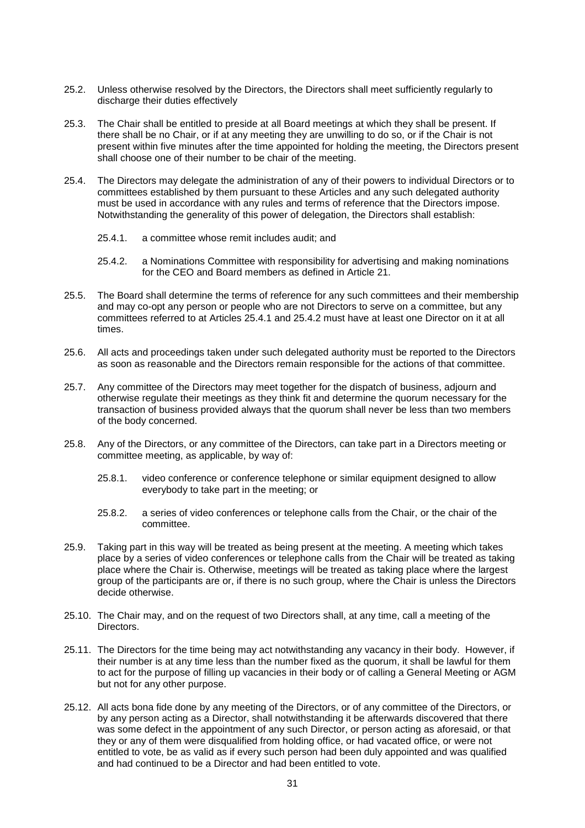- 25.2. Unless otherwise resolved by the Directors, the Directors shall meet sufficiently regularly to discharge their duties effectively
- 25.3. The Chair shall be entitled to preside at all Board meetings at which they shall be present. If there shall be no Chair, or if at any meeting they are unwilling to do so, or if the Chair is not present within five minutes after the time appointed for holding the meeting, the Directors present shall choose one of their number to be chair of the meeting.
- 25.4. The Directors may delegate the administration of any of their powers to individual Directors or to committees established by them pursuant to these Articles and any such delegated authority must be used in accordance with any rules and terms of reference that the Directors impose. Notwithstanding the generality of this power of delegation, the Directors shall establish:
	- 25.4.1. a committee whose remit includes audit; and
	- 25.4.2. a Nominations Committee with responsibility for advertising and making nominations for the CEO and Board members as defined in Article [21.](#page-26-0)
- <span id="page-31-1"></span><span id="page-31-0"></span>25.5. The Board shall determine the terms of reference for any such committees and their membership and may co-opt any person or people who are not Directors to serve on a committee, but any committees referred to at Articles [25.4.1](#page-31-0) and [25.4.2](#page-31-1) must have at least one Director on it at all times.
- 25.6. All acts and proceedings taken under such delegated authority must be reported to the Directors as soon as reasonable and the Directors remain responsible for the actions of that committee.
- 25.7. Any committee of the Directors may meet together for the dispatch of business, adjourn and otherwise regulate their meetings as they think fit and determine the quorum necessary for the transaction of business provided always that the quorum shall never be less than two members of the body concerned.
- 25.8. Any of the Directors, or any committee of the Directors, can take part in a Directors meeting or committee meeting, as applicable, by way of:
	- 25.8.1. video conference or conference telephone or similar equipment designed to allow everybody to take part in the meeting; or
	- 25.8.2. a series of video conferences or telephone calls from the Chair, or the chair of the committee.
- 25.9. Taking part in this way will be treated as being present at the meeting. A meeting which takes place by a series of video conferences or telephone calls from the Chair will be treated as taking place where the Chair is. Otherwise, meetings will be treated as taking place where the largest group of the participants are or, if there is no such group, where the Chair is unless the Directors decide otherwise.
- 25.10. The Chair may, and on the request of two Directors shall, at any time, call a meeting of the Directors.
- 25.11. The Directors for the time being may act notwithstanding any vacancy in their body. However, if their number is at any time less than the number fixed as the quorum, it shall be lawful for them to act for the purpose of filling up vacancies in their body or of calling a General Meeting or AGM but not for any other purpose.
- 25.12. All acts bona fide done by any meeting of the Directors, or of any committee of the Directors, or by any person acting as a Director, shall notwithstanding it be afterwards discovered that there was some defect in the appointment of any such Director, or person acting as aforesaid, or that they or any of them were disqualified from holding office, or had vacated office, or were not entitled to vote, be as valid as if every such person had been duly appointed and was qualified and had continued to be a Director and had been entitled to vote.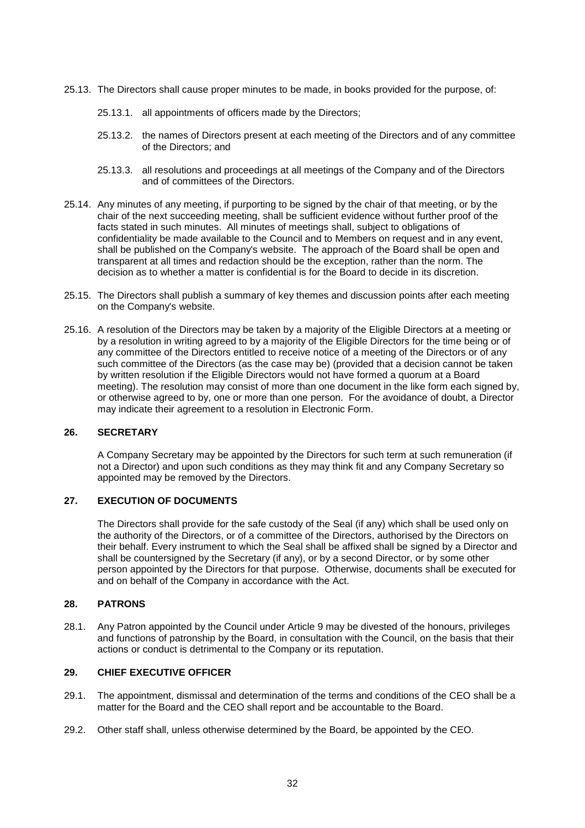- 25.13. The Directors shall cause proper minutes to be made, in books provided for the purpose, of:
	- 25.13.1. all appointments of officers made by the Directors;
	- 25.13.2. the names of Directors present at each meeting of the Directors and of any committee of the Directors; and
	- 25.13.3. all resolutions and proceedings at all meetings of the Company and of the Directors and of committees of the Directors.
- 25.14. Any minutes of any meeting, if purporting to be signed by the chair of that meeting, or by the chair of the next succeeding meeting, shall be sufficient evidence without further proof of the facts stated in such minutes. All minutes of meetings shall, subject to obligations of confidentiality be made available to the Council and to Members on request and in any event, shall be published on the Company's website. The approach of the Board shall be open and transparent at all times and redaction should be the exception, rather than the norm. The decision as to whether a matter is confidential is for the Board to decide in its discretion.
- 25.15. The Directors shall publish a summary of key themes and discussion points after each meeting on the Company's website.
- 25.16. A resolution of the Directors may be taken by a majority of the Eligible Directors at a meeting or by a resolution in writing agreed to by a majority of the Eligible Directors for the time being or of any committee of the Directors entitled to receive notice of a meeting of the Directors or of any such committee of the Directors (as the case may be) (provided that a decision cannot be taken by written resolution if the Eligible Directors would not have formed a quorum at a Board meeting). The resolution may consist of more than one document in the like form each signed by, or otherwise agreed to by, one or more than one person. For the avoidance of doubt, a Director may indicate their agreement to a resolution in Electronic Form.

## <span id="page-32-0"></span>**26. SECRETARY**

A Company Secretary may be appointed by the Directors for such term at such remuneration (if not a Director) and upon such conditions as they may think fit and any Company Secretary so appointed may be removed by the Directors.

# <span id="page-32-1"></span>**27. EXECUTION OF DOCUMENTS**

The Directors shall provide for the safe custody of the Seal (if any) which shall be used only on the authority of the Directors, or of a committee of the Directors, authorised by the Directors on their behalf. Every instrument to which the Seal shall be affixed shall be signed by a Director and shall be countersigned by the Secretary (if any), or by a second Director, or by some other person appointed by the Directors for that purpose. Otherwise, documents shall be executed for and on behalf of the Company in accordance with the Act.

## <span id="page-32-2"></span>**28. PATRONS**

28.1. Any Patron appointed by the Council under Article [9](#page-12-1) may be divested of the honours, privileges and functions of patronship by the Board, in consultation with the Council, on the basis that their actions or conduct is detrimental to the Company or its reputation.

# <span id="page-32-3"></span>**29. CHIEF EXECUTIVE OFFICER**

- 29.1. The appointment, dismissal and determination of the terms and conditions of the CEO shall be a matter for the Board and the CEO shall report and be accountable to the Board.
- 29.2. Other staff shall, unless otherwise determined by the Board, be appointed by the CEO.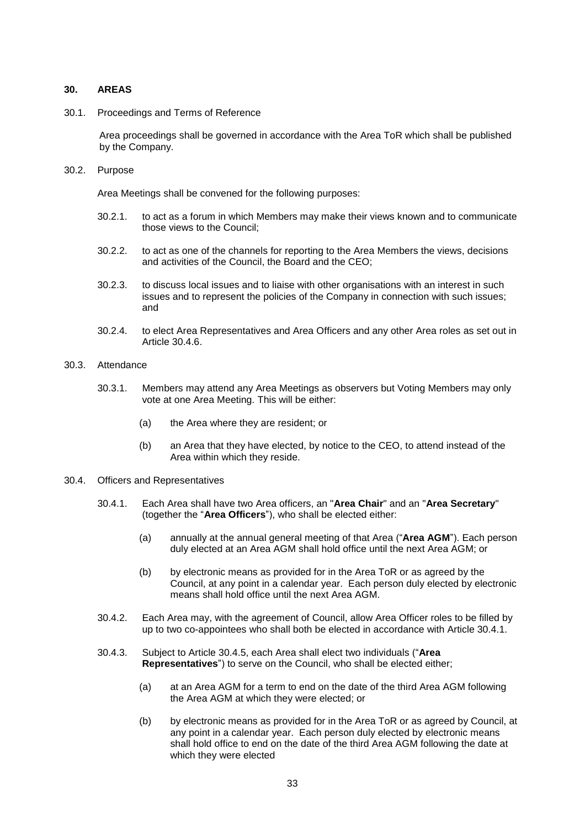### <span id="page-33-0"></span>**30. AREAS**

30.1. Proceedings and Terms of Reference

Area proceedings shall be governed in accordance with the Area ToR which shall be published by the Company.

30.2. Purpose

Area Meetings shall be convened for the following purposes:

- 30.2.1. to act as a forum in which Members may make their views known and to communicate those views to the Council;
- 30.2.2. to act as one of the channels for reporting to the Area Members the views, decisions and activities of the Council, the Board and the CEO;
- 30.2.3. to discuss local issues and to liaise with other organisations with an interest in such issues and to represent the policies of the Company in connection with such issues; and
- 30.2.4. to elect Area Representatives and Area Officers and any other Area roles as set out in Article [30.4.6.](#page-34-0)
- 30.3. Attendance
	- 30.3.1. Members may attend any Area Meetings as observers but Voting Members may only vote at one Area Meeting. This will be either:
		- (a) the Area where they are resident; or
		- (b) an Area that they have elected, by notice to the CEO, to attend instead of the Area within which they reside.
- <span id="page-33-3"></span><span id="page-33-2"></span><span id="page-33-1"></span>30.4. Officers and Representatives
	- 30.4.1. Each Area shall have two Area officers, an "**Area Chair**" and an "**Area Secretary**" (together the "**Area Officers**"), who shall be elected either:
		- (a) annually at the annual general meeting of that Area ("**Area AGM**"). Each person duly elected at an Area AGM shall hold office until the next Area AGM; or
		- (b) by electronic means as provided for in the Area ToR or as agreed by the Council, at any point in a calendar year. Each person duly elected by electronic means shall hold office until the next Area AGM.
	- 30.4.2. Each Area may, with the agreement of Council, allow Area Officer roles to be filled by up to two co-appointees who shall both be elected in accordance with Article [30.4.1.](#page-33-2)
	- 30.4.3. Subject to Article [30.4.5,](#page-34-1) each Area shall elect two individuals ("**Area Representatives**") to serve on the Council, who shall be elected either;
		- (a) at an Area AGM for a term to end on the date of the third Area AGM following the Area AGM at which they were elected; or
		- (b) by electronic means as provided for in the Area ToR or as agreed by Council, at any point in a calendar year. Each person duly elected by electronic means shall hold office to end on the date of the third Area AGM following the date at which they were elected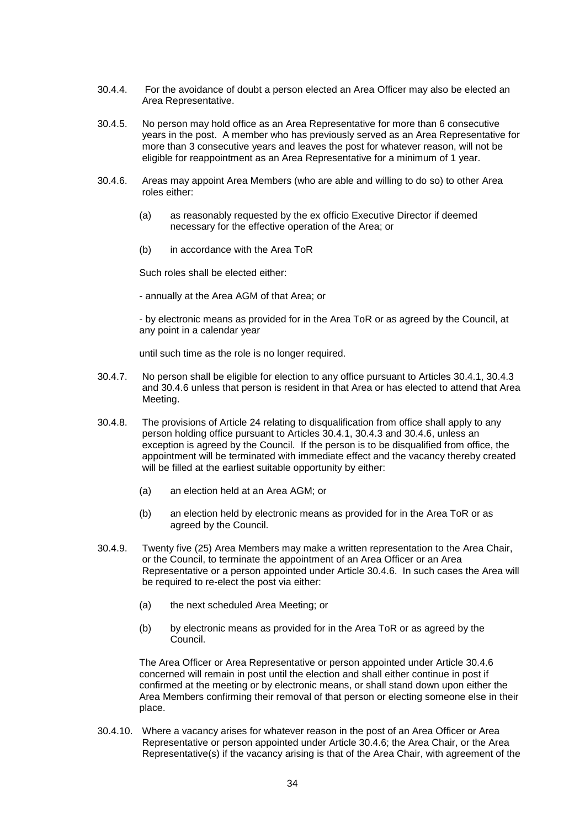- 30.4.4. For the avoidance of doubt a person elected an Area Officer may also be elected an Area Representative.
- <span id="page-34-1"></span>30.4.5. No person may hold office as an Area Representative for more than 6 consecutive years in the post. A member who has previously served as an Area Representative for more than 3 consecutive years and leaves the post for whatever reason, will not be eligible for reappointment as an Area Representative for a minimum of 1 year.
- <span id="page-34-0"></span>30.4.6. Areas may appoint Area Members (who are able and willing to do so) to other Area roles either:
	- (a) as reasonably requested by the ex officio Executive Director if deemed necessary for the effective operation of the Area; or
	- (b) in accordance with the Area ToR

Such roles shall be elected either:

- annually at the Area AGM of that Area; or

- by electronic means as provided for in the Area ToR or as agreed by the Council, at any point in a calendar year

until such time as the role is no longer required.

- 30.4.7. No person shall be eligible for election to any office pursuant to Articles [30.4.1,](#page-33-2) [30.4.3](#page-33-3) and [30.4.6](#page-34-0) unless that person is resident in that Area or has elected to attend that Area Meeting.
- 30.4.8. The provisions of Article [24](#page-30-0) relating to disqualification from office shall apply to any person holding office pursuant to Articles [30.4.1,](#page-33-2) [30.4.3](#page-33-3) and [30.4.6,](#page-34-0) unless an exception is agreed by the Council. If the person is to be disqualified from office, the appointment will be terminated with immediate effect and the vacancy thereby created will be filled at the earliest suitable opportunity by either:
	- (a) an election held at an Area AGM; or
	- (b) an election held by electronic means as provided for in the Area ToR or as agreed by the Council.
- 30.4.9. Twenty five (25) Area Members may make a written representation to the Area Chair, or the Council, to terminate the appointment of an Area Officer or an Area Representative or a person appointed under Article [30.4.6.](#page-34-0) In such cases the Area will be required to re-elect the post via either:
	- (a) the next scheduled Area Meeting; or
	- (b) by electronic means as provided for in the Area ToR or as agreed by the Council.

The Area Officer or Area Representative or person appointed under Article [30.4.6](#page-34-0) concerned will remain in post until the election and shall either continue in post if confirmed at the meeting or by electronic means, or shall stand down upon either the Area Members confirming their removal of that person or electing someone else in their place.

30.4.10. Where a vacancy arises for whatever reason in the post of an Area Officer or Area Representative or person appointed under Article [30.4.6;](#page-34-0) the Area Chair, or the Area Representative(s) if the vacancy arising is that of the Area Chair, with agreement of the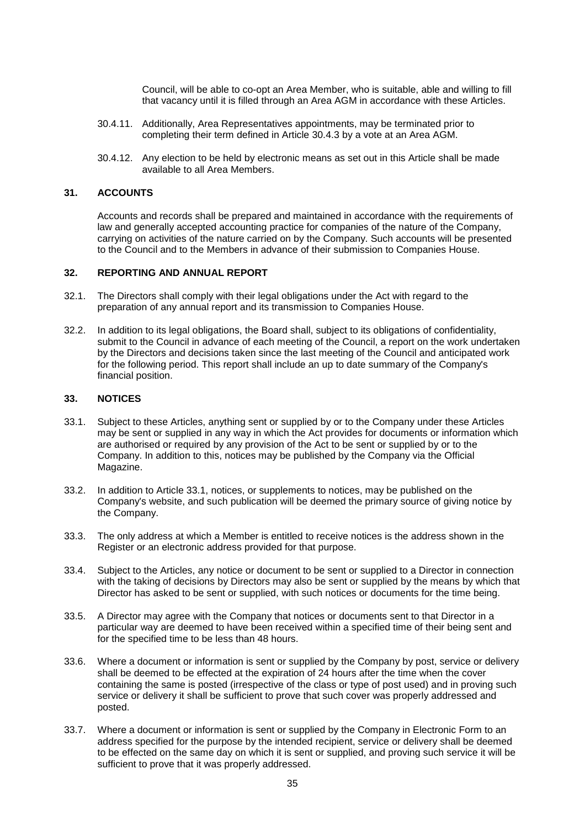Council, will be able to co-opt an Area Member, who is suitable, able and willing to fill that vacancy until it is filled through an Area AGM in accordance with these Articles.

- 30.4.11. Additionally, Area Representatives appointments, may be terminated prior to completing their term defined in Article [30.4.3](#page-33-3) by a vote at an Area AGM.
- 30.4.12. Any election to be held by electronic means as set out in this Article shall be made available to all Area Members.

## <span id="page-35-0"></span>**31. ACCOUNTS**

Accounts and records shall be prepared and maintained in accordance with the requirements of law and generally accepted accounting practice for companies of the nature of the Company, carrying on activities of the nature carried on by the Company. Such accounts will be presented to the Council and to the Members in advance of their submission to Companies House.

#### <span id="page-35-1"></span>**32. REPORTING AND ANNUAL REPORT**

- 32.1. The Directors shall comply with their legal obligations under the Act with regard to the preparation of any annual report and its transmission to Companies House.
- 32.2. In addition to its legal obligations, the Board shall, subject to its obligations of confidentiality, submit to the Council in advance of each meeting of the Council, a report on the work undertaken by the Directors and decisions taken since the last meeting of the Council and anticipated work for the following period. This report shall include an up to date summary of the Company's financial position.

### <span id="page-35-2"></span>**33. NOTICES**

- <span id="page-35-3"></span>33.1. Subject to these Articles, anything sent or supplied by or to the Company under these Articles may be sent or supplied in any way in which the Act provides for documents or information which are authorised or required by any provision of the Act to be sent or supplied by or to the Company. In addition to this, notices may be published by the Company via the Official Magazine.
- 33.2. In addition to Article [33.1,](#page-35-3) notices, or supplements to notices, may be published on the Company's website, and such publication will be deemed the primary source of giving notice by the Company.
- 33.3. The only address at which a Member is entitled to receive notices is the address shown in the Register or an electronic address provided for that purpose.
- 33.4. Subject to the Articles, any notice or document to be sent or supplied to a Director in connection with the taking of decisions by Directors may also be sent or supplied by the means by which that Director has asked to be sent or supplied, with such notices or documents for the time being.
- 33.5. A Director may agree with the Company that notices or documents sent to that Director in a particular way are deemed to have been received within a specified time of their being sent and for the specified time to be less than 48 hours.
- 33.6. Where a document or information is sent or supplied by the Company by post, service or delivery shall be deemed to be effected at the expiration of 24 hours after the time when the cover containing the same is posted (irrespective of the class or type of post used) and in proving such service or delivery it shall be sufficient to prove that such cover was properly addressed and posted.
- 33.7. Where a document or information is sent or supplied by the Company in Electronic Form to an address specified for the purpose by the intended recipient, service or delivery shall be deemed to be effected on the same day on which it is sent or supplied, and proving such service it will be sufficient to prove that it was properly addressed.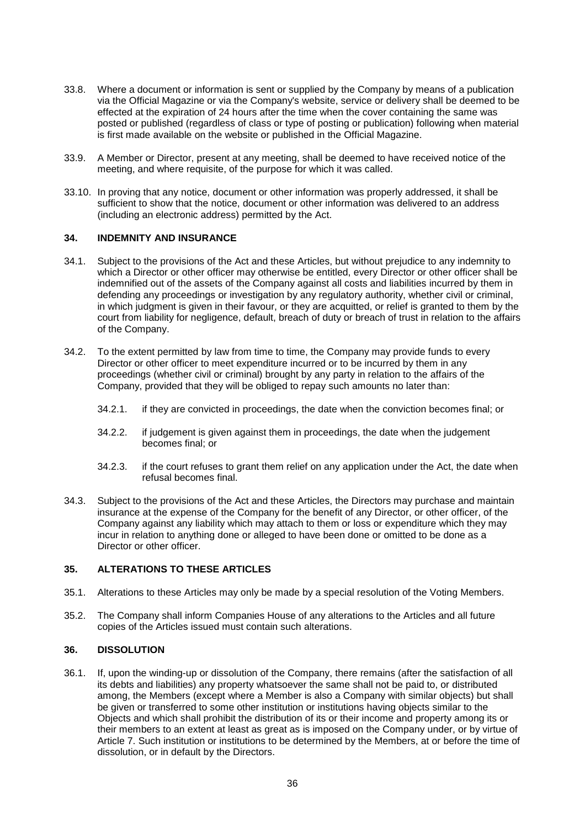- 33.8. Where a document or information is sent or supplied by the Company by means of a publication via the Official Magazine or via the Company's website, service or delivery shall be deemed to be effected at the expiration of 24 hours after the time when the cover containing the same was posted or published (regardless of class or type of posting or publication) following when material is first made available on the website or published in the Official Magazine.
- 33.9. A Member or Director, present at any meeting, shall be deemed to have received notice of the meeting, and where requisite, of the purpose for which it was called.
- 33.10. In proving that any notice, document or other information was properly addressed, it shall be sufficient to show that the notice, document or other information was delivered to an address (including an electronic address) permitted by the Act.

## <span id="page-36-0"></span>**34. INDEMNITY AND INSURANCE**

- 34.1. Subject to the provisions of the Act and these Articles, but without prejudice to any indemnity to which a Director or other officer may otherwise be entitled, every Director or other officer shall be indemnified out of the assets of the Company against all costs and liabilities incurred by them in defending any proceedings or investigation by any regulatory authority, whether civil or criminal, in which judgment is given in their favour, or they are acquitted, or relief is granted to them by the court from liability for negligence, default, breach of duty or breach of trust in relation to the affairs of the Company.
- 34.2. To the extent permitted by law from time to time, the Company may provide funds to every Director or other officer to meet expenditure incurred or to be incurred by them in any proceedings (whether civil or criminal) brought by any party in relation to the affairs of the Company, provided that they will be obliged to repay such amounts no later than:
	- 34.2.1. if they are convicted in proceedings, the date when the conviction becomes final; or
	- 34.2.2. if judgement is given against them in proceedings, the date when the judgement becomes final; or
	- 34.2.3. if the court refuses to grant them relief on any application under the Act, the date when refusal becomes final.
- 34.3. Subject to the provisions of the Act and these Articles, the Directors may purchase and maintain insurance at the expense of the Company for the benefit of any Director, or other officer, of the Company against any liability which may attach to them or loss or expenditure which they may incur in relation to anything done or alleged to have been done or omitted to be done as a Director or other officer.

## <span id="page-36-1"></span>**35. ALTERATIONS TO THESE ARTICLES**

- 35.1. Alterations to these Articles may only be made by a special resolution of the Voting Members.
- 35.2. The Company shall inform Companies House of any alterations to the Articles and all future copies of the Articles issued must contain such alterations.

## <span id="page-36-2"></span>**36. DISSOLUTION**

36.1. If, upon the winding-up or dissolution of the Company, there remains (after the satisfaction of all its debts and liabilities) any property whatsoever the same shall not be paid to, or distributed among, the Members (except where a Member is also a Company with similar objects) but shall be given or transferred to some other institution or institutions having objects similar to the Objects and which shall prohibit the distribution of its or their income and property among its or their members to an extent at least as great as is imposed on the Company under, or by virtue of Article [7.](#page-10-0) Such institution or institutions to be determined by the Members, at or before the time of dissolution, or in default by the Directors.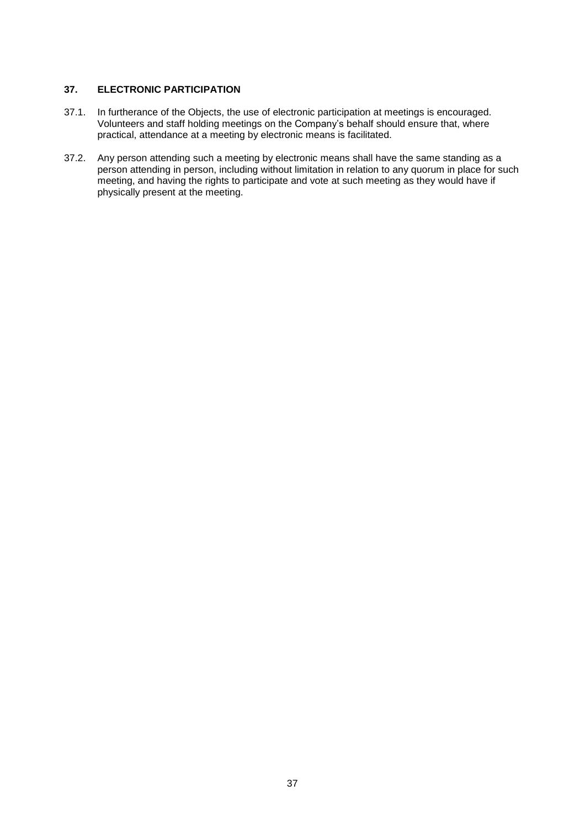## <span id="page-37-0"></span>**37. ELECTRONIC PARTICIPATION**

- 37.1. In furtherance of the Objects, the use of electronic participation at meetings is encouraged. Volunteers and staff holding meetings on the Company's behalf should ensure that, where practical, attendance at a meeting by electronic means is facilitated.
- 37.2. Any person attending such a meeting by electronic means shall have the same standing as a person attending in person, including without limitation in relation to any quorum in place for such meeting, and having the rights to participate and vote at such meeting as they would have if physically present at the meeting.